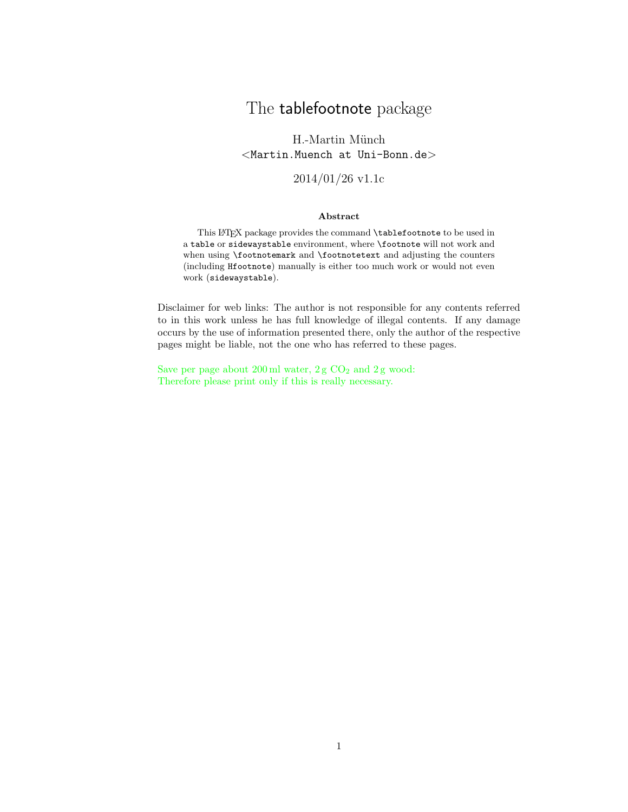# The tablefootnote package

H.-Martin Münch  $<$ Martin.Muench at Uni-Bonn.de $>$ 

2014/01/26 v1.1c

#### Abstract

This LATEX package provides the command \tablefootnote to be used in a table or sidewaystable environment, where \footnote will not work and when using **\footnotemark** and **\footnotetext** and adjusting the counters (including Hfootnote) manually is either too much work or would not even work (sidewaystable).

Disclaimer for web links: The author is not responsible for any contents referred to in this work unless he has full knowledge of illegal contents. If any damage occurs by the use of information presented there, only the author of the respective pages might be liable, not the one who has referred to these pages.

Save per page about  $200 \,\mathrm{ml}$  water,  $2 \,\mathrm{g}$  CO<sub>2</sub> and  $2 \,\mathrm{g}$  wood: Therefore please print only if this is really necessary.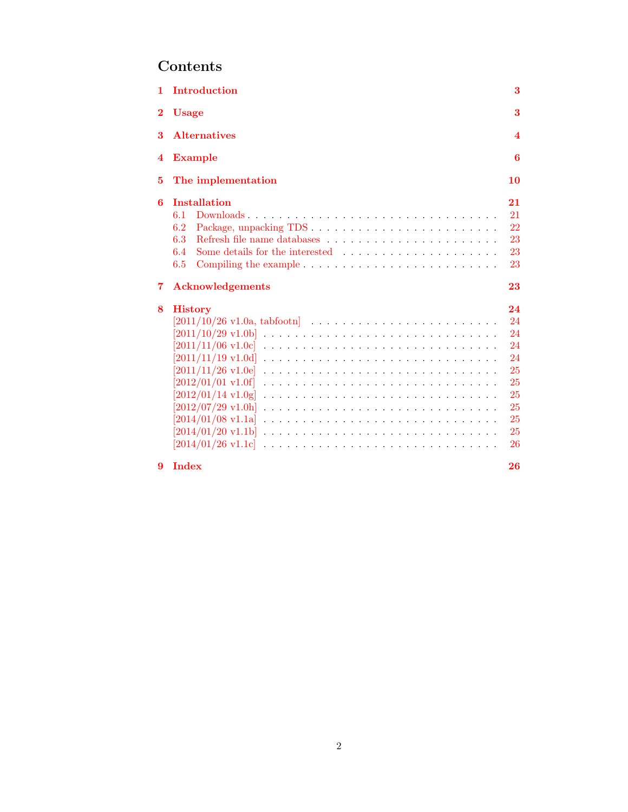# Contents

| 1.       | <b>Introduction</b>                                                                                                                                                                                                                                                                                | 3                                                                    |
|----------|----------------------------------------------------------------------------------------------------------------------------------------------------------------------------------------------------------------------------------------------------------------------------------------------------|----------------------------------------------------------------------|
| $\bf{2}$ | <b>Usage</b>                                                                                                                                                                                                                                                                                       | 3                                                                    |
| 3        | <b>Alternatives</b>                                                                                                                                                                                                                                                                                | 4                                                                    |
| 4        | <b>Example</b>                                                                                                                                                                                                                                                                                     | 6                                                                    |
| 5        | The implementation                                                                                                                                                                                                                                                                                 | 10                                                                   |
| 6        | <b>Installation</b><br>Downloads<br>6.1<br>6.2<br>6.3<br>6.4<br>6.5<br>Compiling the example $\ldots \ldots \ldots \ldots \ldots \ldots \ldots \ldots \ldots$                                                                                                                                      | 21<br>21<br>22<br>23<br>23<br>23                                     |
| 7        | <b>Acknowledgements</b>                                                                                                                                                                                                                                                                            | 23                                                                   |
| 8        | <b>History</b><br>$[2011/10/29 \text{ v}1.0b]$<br>$[2011/11/19 \text{ v}1.0d]$<br>$[2011/11/26 \text{ v}1.0e]$<br>$[2012/01/01 \text{ v}1.0f]$<br>$[2012/01/14 \text{ v}1.0 \text{g}]$<br>$[2012/07/29 \text{ v}1.0h]$<br>$[2014/01/08 \text{ v}1.1a]$<br>[2014/01/20 v1.1b]<br>[2014/01/26 v1.1c] | 24<br>24<br>24<br>24<br>24<br>25<br>25<br>25<br>25<br>25<br>25<br>26 |
| 9        | <b>Index</b>                                                                                                                                                                                                                                                                                       | 26                                                                   |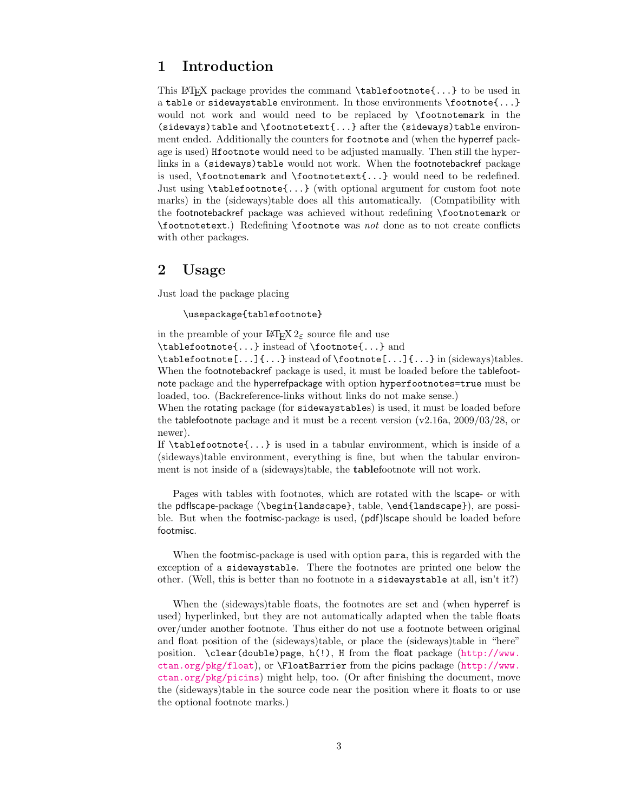# <span id="page-2-0"></span>1 Introduction

This LATEX package provides the command  $\table{...}$  to be used in a table or sidewaystable environment. In those environments \footnote{...} would not work and would need to be replaced by \footnotemark in the (sideways)table and \footnotetext{...} after the (sideways)table environment ended. Additionally the counters for footnote and (when the hyperref package is used) Hfootnote would need to be adjusted manually. Then still the hyperlinks in a (sideways)table would not work. When the footnotebackref package is used, \footnotemark and \footnotetext{...} would need to be redefined. Just using \tablefootnote{...} (with optional argument for custom foot note marks) in the (sideways)table does all this automatically. (Compatibility with the footnotebackref package was achieved without redefining \footnotemark or \footnotetext.) Redefining \footnote was not done as to not create conflicts with other packages.

# <span id="page-2-1"></span>2 Usage

Just load the package placing

\usepackage{tablefootnote}

in the preamble of your  $\mathbb{P}\mathbb{F} \times \mathbb{P}2_{\varepsilon}$  source file and use

\tablefootnote{...} instead of \footnote{...} and

\tablefootnote[...]{...} instead of \footnote[...]{...} in (sideways)tables. When the footnotebackref package is used, it must be loaded before the tablefootnote package and the hyperrefpackage with option hyperfootnotes=true must be loaded, too. (Backreference-links without links do not make sense.)

When the rotating package (for sidewaystables) is used, it must be loaded before the tablefootnote package and it must be a recent version (v2.16a, 2009/03/28, or newer).

If \tablefootnote{...} is used in a tabular environment, which is inside of a (sideways)table environment, everything is fine, but when the tabular environment is not inside of a (sideways)table, the tablefootnote will not work.

Pages with tables with footnotes, which are rotated with the lscape- or with the pdflscape-package (\begin{landscape}, table, \end{landscape}), are possible. But when the footmisc-package is used, (pdf)lscape should be loaded before footmisc.

When the footmisc-package is used with option para, this is regarded with the exception of a sidewaystable. There the footnotes are printed one below the other. (Well, this is better than no footnote in a sidewaystable at all, isn't it?)

When the (sideways)table floats, the footnotes are set and (when hyperref is used) hyperlinked, but they are not automatically adapted when the table floats over/under another footnote. Thus either do not use a footnote between original and float position of the (sideways)table, or place the (sideways)table in "here" position. \clear(double)page, h(!), H from the float package ([http://www.](http://www.ctan.org/pkg/float) [ctan.org/pkg/float](http://www.ctan.org/pkg/float)), or \FloatBarrier from the picins package ([http://www.](http://www.ctan.org/pkg/picins) [ctan.org/pkg/picins](http://www.ctan.org/pkg/picins)) might help, too. (Or after finishing the document, move the (sideways)table in the source code near the position where it floats to or use the optional footnote marks.)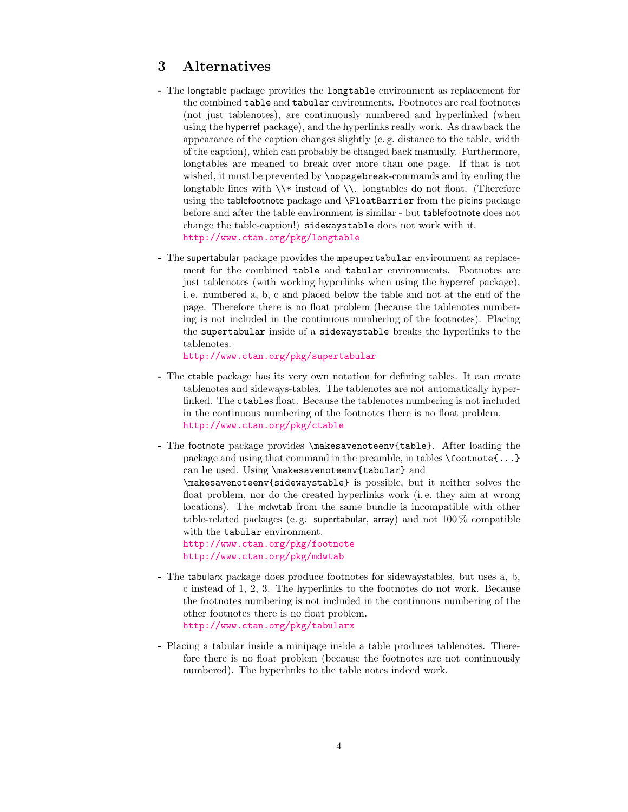# <span id="page-3-0"></span>3 Alternatives

- The longtable package provides the longtable environment as replacement for the combined table and tabular environments. Footnotes are real footnotes (not just tablenotes), are continuously numbered and hyperlinked (when using the hyperref package), and the hyperlinks really work. As drawback the appearance of the caption changes slightly (e. g. distance to the table, width of the caption), which can probably be changed back manually. Furthermore, longtables are meaned to break over more than one page. If that is not wished, it must be prevented by \nopagebreak-commands and by ending the longtable lines with  $\X$  instead of  $\X$ . longtables do not float. (Therefore using the tablefootnote package and \FloatBarrier from the picins package before and after the table environment is similar - but tablefootnote does not change the table-caption!) sidewaystable does not work with it. <http://www.ctan.org/pkg/longtable>
- The supertabular package provides the mpsupertabular environment as replacement for the combined table and tabular environments. Footnotes are just tablenotes (with working hyperlinks when using the hyperref package), i. e. numbered a, b, c and placed below the table and not at the end of the page. Therefore there is no float problem (because the tablenotes numbering is not included in the continuous numbering of the footnotes). Placing the supertabular inside of a sidewaystable breaks the hyperlinks to the tablenotes.

<http://www.ctan.org/pkg/supertabular>

- The ctable package has its very own notation for defining tables. It can create tablenotes and sideways-tables. The tablenotes are not automatically hyperlinked. The ctables float. Because the tablenotes numbering is not included in the continuous numbering of the footnotes there is no float problem. <http://www.ctan.org/pkg/ctable>
- The footnote package provides \makesavenoteenv{table}. After loading the package and using that command in the preamble, in tables  $\footnotesize{\text{footnote}}\{\dots\}$ can be used. Using \makesavenoteenv{tabular} and

\makesavenoteenv{sidewaystable} is possible, but it neither solves the float problem, nor do the created hyperlinks work (i. e. they aim at wrong locations). The mdwtab from the same bundle is incompatible with other table-related packages (e. g. supertabular, array) and not 100 % compatible with the tabular environment.

<http://www.ctan.org/pkg/footnote> <http://www.ctan.org/pkg/mdwtab>

- The tabularx package does produce footnotes for sidewaystables, but uses a, b, c instead of 1, 2, 3. The hyperlinks to the footnotes do not work. Because the footnotes numbering is not included in the continuous numbering of the other footnotes there is no float problem. <http://www.ctan.org/pkg/tabularx>
- Placing a tabular inside a minipage inside a table produces tablenotes. Therefore there is no float problem (because the footnotes are not continuously numbered). The hyperlinks to the table notes indeed work.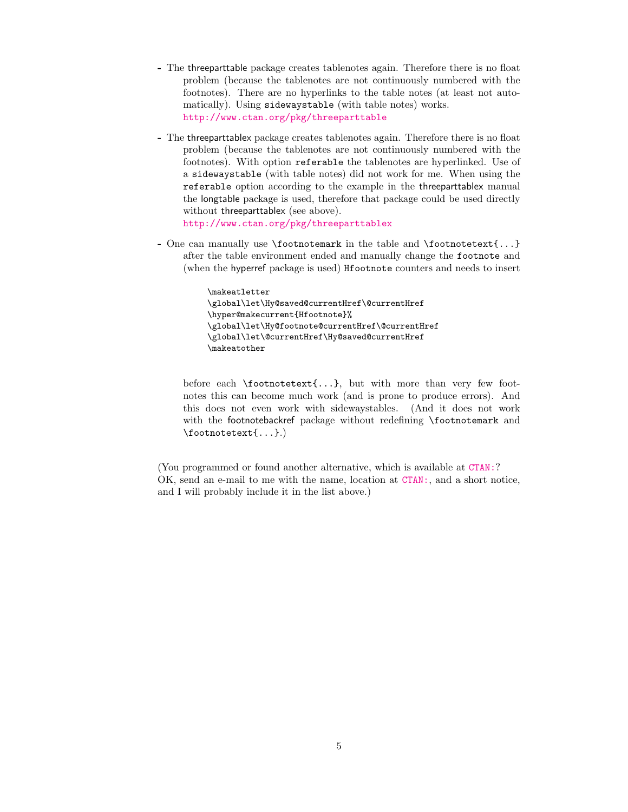- The threeparttable package creates tablenotes again. Therefore there is no float problem (because the tablenotes are not continuously numbered with the footnotes). There are no hyperlinks to the table notes (at least not automatically). Using sidewaystable (with table notes) works. <http://www.ctan.org/pkg/threeparttable>
- The threeparttablex package creates tablenotes again. Therefore there is no float problem (because the tablenotes are not continuously numbered with the footnotes). With option referable the tablenotes are hyperlinked. Use of a sidewaystable (with table notes) did not work for me. When using the referable option according to the example in the threeparttablex manual the longtable package is used, therefore that package could be used directly without threeparttablex (see above).

<http://www.ctan.org/pkg/threeparttablex>

- One can manually use  $\footnotesize{\text{footnotemark}}$  in the table and  $\footnotesize{\text{footnotText}}...$ after the table environment ended and manually change the footnote and (when the hyperref package is used) Hfootnote counters and needs to insert

```
\makeatletter
\global\let\Hy@saved@currentHref\@currentHref
\hyper@makecurrent{Hfootnote}%
\global\let\Hy@footnote@currentHref\@currentHref
\global\let\@currentHref\Hy@saved@currentHref
\makeatother
```
before each \footnotetext{...}, but with more than very few footnotes this can become much work (and is prone to produce errors). And this does not even work with sidewaystables. (And it does not work with the footnotebackref package without redefining \footnotemark and \footnotetext{...}.)

(You programmed or found another alternative, which is available at [CTAN:](ftp://ftp.ctan.org/tex-archive/)? OK, send an e-mail to me with the name, location at [CTAN:](ftp://ftp.ctan.org/tex-archive/), and a short notice, and I will probably include it in the list above.)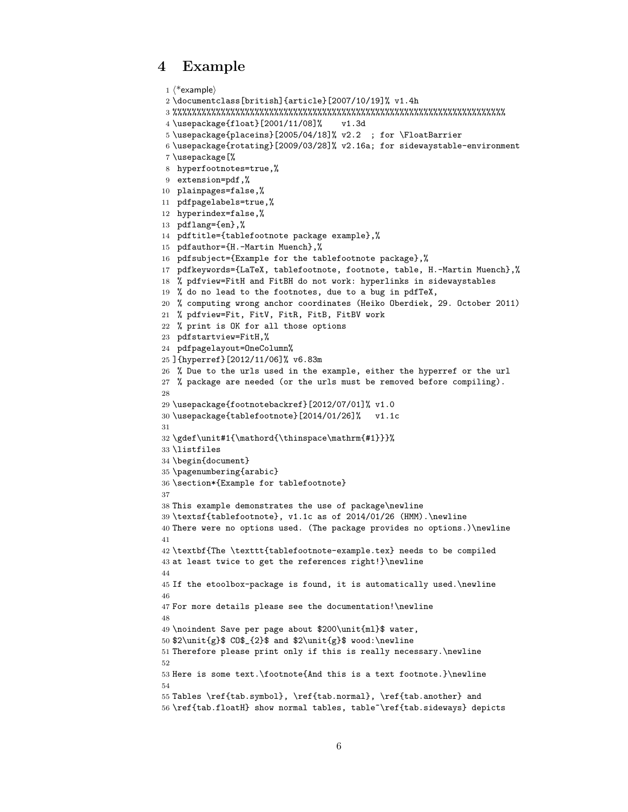# <span id="page-5-0"></span>4 Example

```
1 \langle *example\rangle2 \documentclass[british]{article}[2007/10/19]% v1.4h
3 %%%%%%%%%%%%%%%%%%%%%%%%%%%%%%%%%%%%%%%%%%%%%%%%%%%%%%%%%%%%%%%%%%%%%
4 \usepackage{float}[2001/11/08]% v1.3d
5 \usepackage{placeins}[2005/04/18]% v2.2 ; for \FloatBarrier
6 \usepackage{rotating}[2009/03/28]% v2.16a; for sidewaystable-environment
7 \usepackage[%
8 hyperfootnotes=true,%
9 extension=pdf,%
10 plainpages=false,%
11 pdfpagelabels=true,%
12 hyperindex=false,%
13 pdflang={en},%
14 pdftitle={tablefootnote package example},%
15 pdfauthor={H.-Martin Muench},%
16 pdfsubject={Example for the tablefootnote package},%
17 pdfkeywords={LaTeX, tablefootnote, footnote, table, H.-Martin Muench},%
18 % pdfview=FitH and FitBH do not work: hyperlinks in sidewaystables
19 % do no lead to the footnotes, due to a bug in pdfTeX,
20 % computing wrong anchor coordinates (Heiko Oberdiek, 29. October 2011)
21 % pdfview=Fit, FitV, FitR, FitB, FitBV work
22 % print is OK for all those options
23 pdfstartview=FitH,%
24 pdfpagelayout=OneColumn%
25 ]{hyperref}[2012/11/06]% v6.83m
26 % Due to the urls used in the example, either the hyperref or the url
27 % package are needed (or the urls must be removed before compiling).
28
29 \usepackage{footnotebackref}[2012/07/01]% v1.0
30 \usepackage{tablefootnote}[2014/01/26]% v1.1c
31
32 \gdef\unit#1{\mathord{\thinspace\mathrm{#1}}}%
33 \listfiles
34 \begin{document}
35 \pagenumbering{arabic}
36 \section*{Example for tablefootnote}
37
38 This example demonstrates the use of package\newline
39 \textsf{tablefootnote}, v1.1c as of 2014/01/26 (HMM).\newline
40 There were no options used. (The package provides no options.)\newline
41
42 \textbf{The \texttt{tablefootnote-example.tex} needs to be compiled
43 at least twice to get the references right!}\newline
44
45 If the etoolbox-package is found, it is automatically used.\newline
46
47 For more details please see the documentation!\newline
48
49 \noindent Save per page about $200\unit{ml}$ water,
50 2\unit{g} CO$_{2}$ and $2\unit{g}$ wood:\newline
51 Therefore please print only if this is really necessary.\newline
52
53 Here is some text.\footnote{And this is a text footnote.}\newline
54
55 Tables \ref{tab.symbol}, \ref{tab.normal}, \ref{tab.another} and
56 \ref{tab.floatH} show normal tables, table~\ref{tab.sideways} depicts
```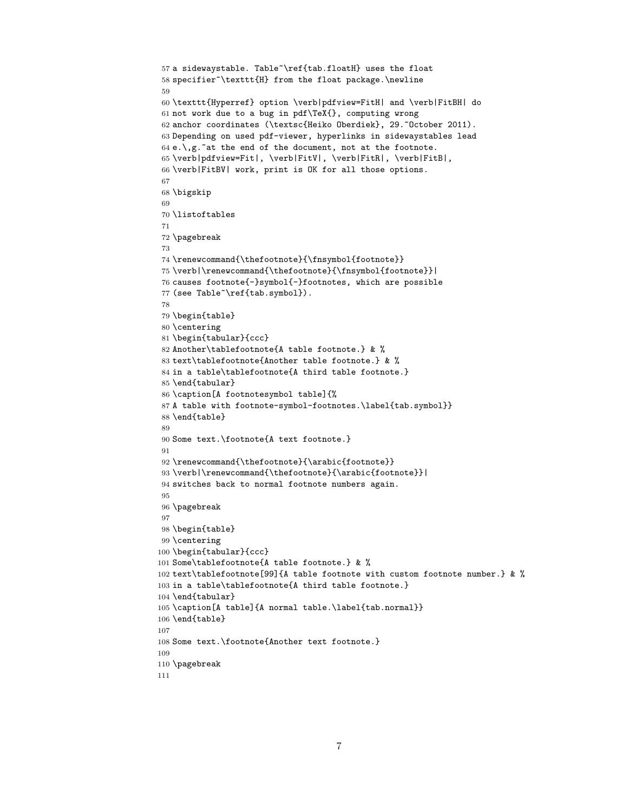```
57 a sidewaystable. Table~\ref{tab.floatH} uses the float
58 specifier~\texttt{H} from the float package.\newline
59
60 \texttt{Hyperref} option \verb|pdfview=FitH| and \verb|FitBH| do
61 not work due to a bug in pdf\TeX{}, computing wrong
62 anchor coordinates (\textsc{Heiko Oberdiek}, 29.~October 2011).
63 Depending on used pdf-viewer, hyperlinks in sidewaystables lead
64 e.\, \sqrt{g}.\, at the end of the document, not at the footnote.
65 \verb|pdfview=Fit|, \verb|FitV|, \verb|FitR|, \verb|FitB|,
66 \verb|FitBV| work, print is OK for all those options.
67
68 \bigskip
69
70 \listoftables
71
72 \pagebreak
73
74 \renewcommand{\thefootnote}{\fnsymbol{footnote}}
75 \verb|\renewcommand{\thefootnote}{\fnsymbol{footnote}}|
76 causes footnote{-}symbol{-}footnotes, which are possible
77 (see Table~\ref{tab.symbol}).
78
79 \begin{table}
80 \centering
81 \begin{tabular}{ccc}
82 Another\tablefootnote{A table footnote.} & %
83 text\tablefootnote{Another table footnote.} & %
84 in a table\tablefootnote{A third table footnote.}
85 \end{tabular}
86 \caption[A footnotesymbol table]{%
87 A table with footnote-symbol-footnotes.\label{tab.symbol}}
88 \end{table}
89
90 Some text.\footnote{A text footnote.}
91
92 \renewcommand{\thefootnote}{\arabic{footnote}}
93 \verb|\renewcommand{\thefootnote}{\arabic{footnote}}|
94 switches back to normal footnote numbers again.
95
96 \pagebreak
97
98 \begin{table}
99 \centering
100 \begin{tabular}{ccc}
101 Some\tablefootnote{A table footnote.} & %
102 text\tablefootnote[99]{A table footnote with custom footnote number.} & %
103 in a table\tablefootnote{A third table footnote.}
104 \end{tabular}
105 \caption[A table]{A normal table.\label{tab.normal}}
106 \end{table}
107
108 Some text.\footnote{Another text footnote.}
109
110 \pagebreak
111
```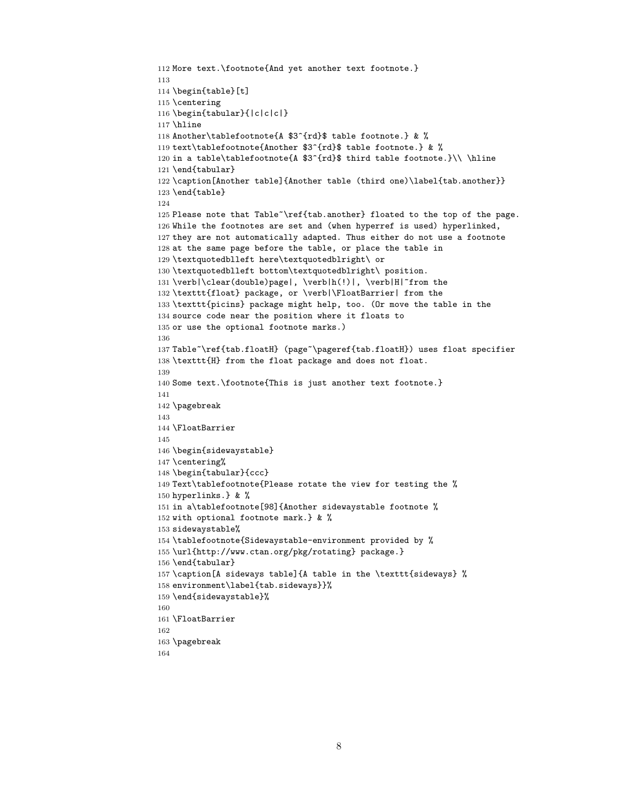```
112 More text.\footnote{And yet another text footnote.}
113
114 \begin{table}[t]
115 \centering
116 \begin{tabular}{|c|c|c|}
117 \hline
118 Another\tablefootnote{A $3^{rd}$ table footnote.} & %
119 text\tablefootnote{Another $3^{rd}$ table footnote.} & %
120 in a table\tablefootnote{A $3^{\rd}$ third table footnote.}\\ \hline
121 \end{tabular}
122 \caption[Another table]{Another table (third one)\label{tab.another}}
123 \end{table}
124
125 Please note that Table~\ref{tab.another} floated to the top of the page.
126 While the footnotes are set and (when hyperref is used) hyperlinked,
127 they are not automatically adapted. Thus either do not use a footnote
128 at the same page before the table, or place the table in
129 \textquotedblleft here\textquotedblright\ or
130 \textquotedblleft bottom\textquotedblright\ position.
131 \verb|\clear(double)page|, \verb|h(!)|, \verb|H|~from the
132 \texttt{float} package, or \verb|\FloatBarrier| from the
133 \texttt{picins} package might help, too. (Or move the table in the
134 source code near the position where it floats to
135 or use the optional footnote marks.)
136
137 Table~\ref{tab.floatH} (page~\pageref{tab.floatH}) uses float specifier
138 \texttt{H} from the float package and does not float.
139
140 Some text.\footnote{This is just another text footnote.}
141
142 \pagebreak
143
144 \FloatBarrier
145
146 \begin{sidewaystable}
147 \centering%
148 \begin{tabular}{ccc}
149 Text\tablefootnote{Please rotate the view for testing the %
150 hyperlinks.} & %
151 in a\tablefootnote[98]{Another sidewaystable footnote %
152 with optional footnote mark.} & %
153 sidewaystable%
154 \tablefootnote{Sidewaystable-environment provided by %
155 \url{http://www.ctan.org/pkg/rotating} package.}
156 \end{tabular}
157 \caption[A sideways table]{A table in the \texttt{sideways} %
158 environment\label{tab.sideways}}%
159 \end{sidewaystable}%
160
161 \FloatBarrier
162
163 \pagebreak
164
```

```
8
```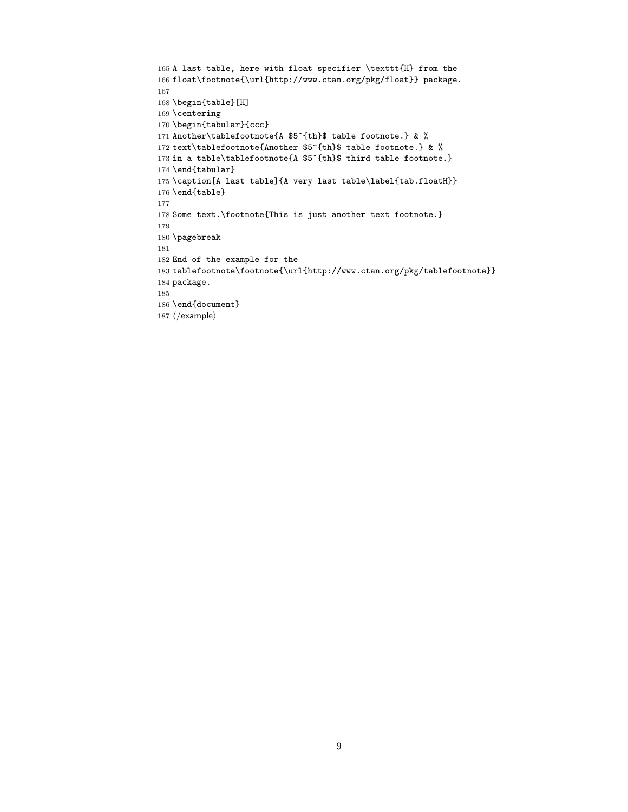```
165 A last table, here with float specifier \texttt{H} from the
166 float\footnote{\url{http://www.ctan.org/pkg/float}} package.
167
168 \begin{table}[H]
169 \centering
170 \begin{tabular}{ccc}
171 Another\tablefootnote{A $5^{th}$ table footnote.} & %
172 text\tablefootnote{Another $5^{th}$ table footnote.} & %
173 in a table\tablefootnote{A $5^{th}$ third table footnote.}
174 \end{tabular}
175 \caption[A last table]{A very last table\label{tab.floatH}}
176 \end{table}
177
178 Some text.\footnote{This is just another text footnote.}
179
180 \pagebreak
181
182 End of the example for the
183 tablefootnote\footnote{\url{http://www.ctan.org/pkg/tablefootnote}}
184 package.
185
186 \end{document}
187 \langle/example\rangle
```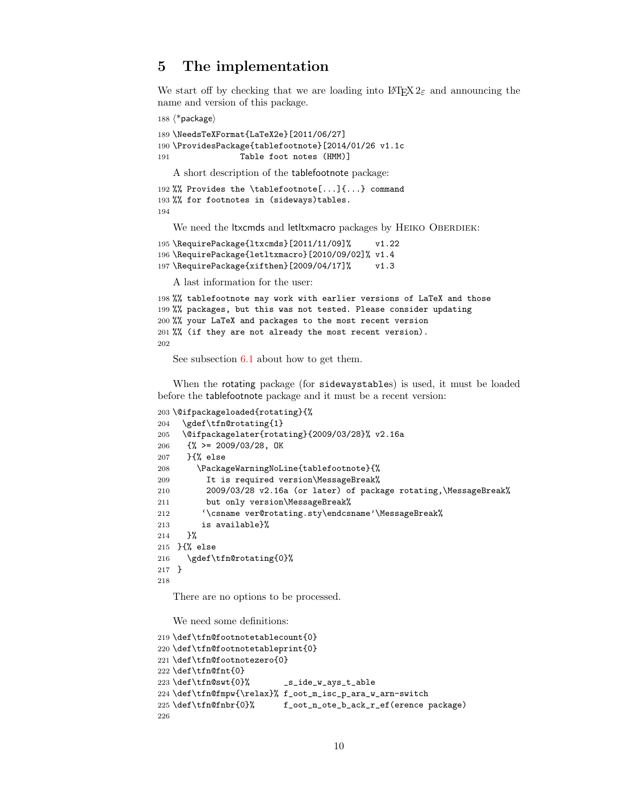# <span id="page-9-0"></span>5 The implementation

We start off by checking that we are loading into  $\angle FFR2_{\epsilon}$  and announcing the name and version of this package.

188  $\langle$ \*package $\rangle$ 

```
189 \NeedsTeXFormat{LaTeX2e}[2011/06/27]
190 \ProvidesPackage{tablefootnote}[2014/01/26 v1.1c
191 Table foot notes (HMM)]
   A short description of the tablefootnote package:
```

```
192 %% Provides the \tablefootnote[...]{...} command
193 %% for footnotes in (sideways)tables.
194
```
We need the ltxcmds and letltxmacro packages by HEIKO OBERDIEK:

```
195 \RequirePackage{ltxcmds}[2011/11/09]% v1.22
196 \RequirePackage{letltxmacro}[2010/09/02]% v1.4
197 \RequirePackage{xifthen}[2009/04/17]% v1.3
```
A last information for the user:

```
198 %% tablefootnote may work with earlier versions of LaTeX and those
199 %% packages, but this was not tested. Please consider updating
200 %% your LaTeX and packages to the most recent version
201 %% (if they are not already the most recent version).
202
```
See subsection [6.1](#page-20-1) about how to get them.

When the rotating package (for sidewaystables) is used, it must be loaded before the tablefootnote package and it must be a recent version:

```
203 \@ifpackageloaded{rotating}{%
204 \gdef\tfn@rotating{1}
205 \@ifpackagelater{rotating}{2009/03/28}% v2.16a
206 \{ \% \ge 2009/03/28, \text{OK} \}207 }{% else
208 \PackageWarningNoLine{tablefootnote}{%
209 It is required version\MessageBreak%
210 2009/03/28 v2.16a (or later) of package rotating,\MessageBreak%
211 but only version\MessageBreak%
212 '\csname ver@rotating.sty\endcsname'\MessageBreak%
213 is available}%
214 }%
215 }{% else
216 \gdef\tfn@rotating{0}%
217 }
218
```
<span id="page-9-16"></span><span id="page-9-3"></span>There are no options to be processed.

We need some definitions:

```
219 \def\tfn@footnotetablecount{0}
220 \def\tfn@footnotetableprint{0}
221 \def\tfn@footnotezero{0}
222 \def\tfn@fnt{0}
223 \def\tfn@swt{0}% _s_ide_w_ays_t_able
224 \def\tfn@fmpw{\relax}% f_oot_m_isc_p_ara_w_arn-switch
225 \def\tfn@fnbr{0}% f_oot_n_ote_b_ack_r_ef(erence package)
226
```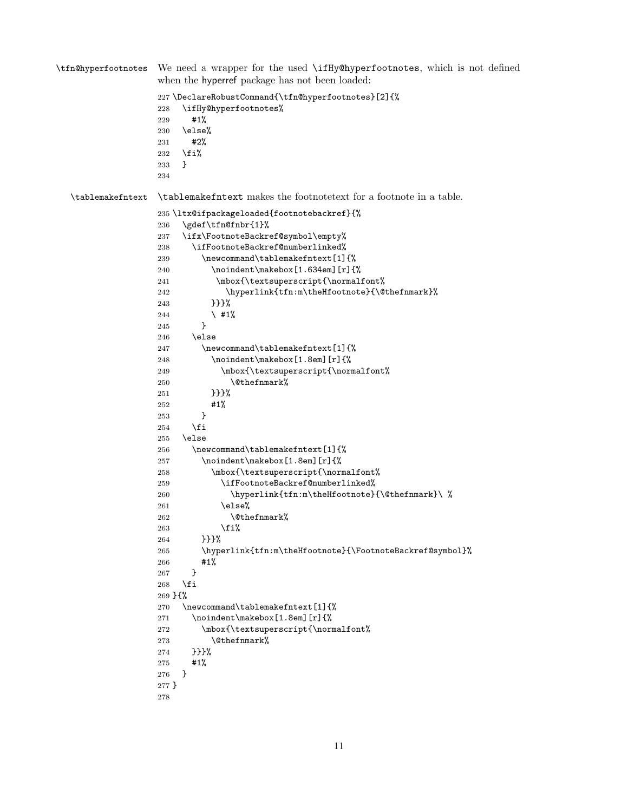```
\tfn@hyperfootnotes We need a wrapper for the used \ifHy@hyperfootnotes, which is not defined
                  when the hyperref package has not been loaded:
                  227 \DeclareRobustCommand{\tfn@hyperfootnotes}[2]{%
                  228 \ifHy@hyperfootnotes%
                  229 #1%
                  230 \else%
                  231 #2%
                  232 \fi%
                  233 }
                  234
  \tablemakefntext \tablemakefntext makes the footnotetext for a footnote in a table.
                  235 \ltx@ifpackageloaded{footnotebackref}{%
                  236 \gdef\tfn@fnbr{1}%
                  237 \ifx\FootnoteBackref@symbol\empty%
                  238 \ifFootnoteBackref@numberlinked%
                  239 \newcommand\tablemakefntext[1]{%
                  240 \noindent\makebox[1.634em][r]{%
                  241 \mbox{\textsuperscript{\normalfont%
                  242 \hyperlink{tfn:m\theHfootnote}{\@thefnmark}%
                  243 }}}%
                  244 \longrightarrow #1%
                  245 }
                  246 \else
                  247 \newcommand\tablemakefntext[1]{%
                  248 \noindent\makebox[1.8em][r]{%
                  249 \mbox{\textsuperscript{\normalfont%
                  250 \\@thefnmark%
                  251 }}}%
                  252 #1%
                  253 }
                  254 \fi
                  255 \else
                  256 \newcommand\tablemakefntext[1]{%
                  257 \noindent\makebox[1.8em][r]{%
                  258 \mbox{\textsuperscript{\normalfont%
                  259 \ifFootnoteBackref@numberlinked%
                  260 \hyperlink{tfn:m\theHfootnote}{\@thefnmark}\ %
                  261 \text{else\textit{%}}262 \\@thefnmark%
                  263 \overrightarrow{1}264 }}}%
                  265 \hyperlink{tfn:m\theHfootnote}{\FootnoteBackref@symbol}%
                  266 #1%
                  267 }
                  268 \fi
                  269 }{%
                  270 \newcommand\tablemakefntext[1]{%
                  271 \noindent\makebox[1.8em][r]{%
                  272 \mbox{\textsuperscript{\normalfont%
                  273 \@thefnmark%
                  274 }}}%
                  275 #1%
                  276 }
                  277 }
                  278
```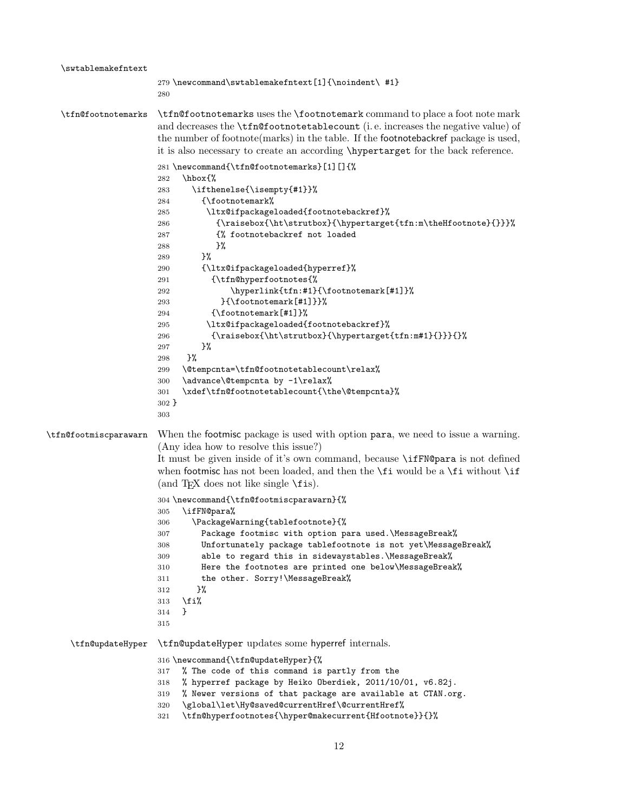```
\swtablemakefntext
                      279 \newcommand\swtablemakefntext[1]{\noindent\ #1}
                      280
  \tfn@footnotemarks \tfn@footnotemarks uses the \footnotemark command to place a foot note mark
                      and decreases the \tfn@footnotetablecount (i. e. increases the negative value) of
                      the number of footnote(marks) in the table. If the footnotebackref package is used,
                      it is also necessary to create an according \hypertarget for the back reference.
                      281 \newcommand{\tfn@footnotemarks}[1][]{%
                      282 \hbox{%
                      283 \ifthenelse{\isempty{#1}}%
                      284 {\footnotemark%
                      285 \ltx@ifpackageloaded{footnotebackref}%
                      286 {\raisebox{\ht\strutbox}{\hypertarget{tfn:m\theHfootnote}{}}}%
                      287 {% footnotebackref not loaded
                      288 } ?
                      289 }%
                      290 {\ltx@ifpackageloaded{hyperref}%
                      291 {\tfn@hyperfootnotes{%
                      292 \hyperlink{tfn:#1}{\footnotemark[#1]}%
                      293 }{\footnotemark[#1]}}%
                      294 {\footnotemark[#1]}%
                      295 \ltx@ifpackageloaded{footnotebackref}%
                      296 {\raisebox{\ht\strutbox}{\hypertarget{tfn:m#1}{}}}{}%
                      297 }%
                      298 }%
                      299 \@tempcnta=\tfn@footnotetablecount\relax%
                      300 \advance\@tempcnta by -1\relax%
                      301 \xdef\tfn@footnotetablecount{\the\@tempcnta}%
                      302 }
                      303
\tfn@footmiscparawarn When the footmisc package is used with option para, we need to issue a warning.
                      (Any idea how to resolve this issue?)
                      It must be given inside of it's own command, because \ifFN@para is not defined
                      when footmisc has not been loaded, and then the \fi would be a \fi without \fi(and T<sub>E</sub>X does not like single \text{ifis}).
                      304 \newcommand{\tfn@footmiscparawarn}{%
                      305 \ifFN@para%
                      306 \PackageWarning{tablefootnote}{%
                      307 Package footmisc with option para used.\MessageBreak%
                      308 Unfortunately package tablefootnote is not yet\MessageBreak%
                      309 able to regard this in sidewaystables.\MessageBreak%
                      310 Here the footnotes are printed one below\MessageBreak%
                      311 the other. Sorry!\MessageBreak%
                      312 }%
                      313 \fi%
                      314 }
                      315
    \tfn@updateHyper \tfn@updateHyper updates some hyperref internals.
                      316 \newcommand{\tfn@updateHyper}{%
                      317 % The code of this command is partly from the
                      318 % hyperref package by Heiko Oberdiek, 2011/10/01, v6.82j.
                      319 % Newer versions of that package are available at CTAN.org.
                      320 \quad \verb|\global\let\Hy@saved@currentHref\@currentHref\@
```
<span id="page-11-26"></span><span id="page-11-23"></span><span id="page-11-21"></span><span id="page-11-20"></span><span id="page-11-19"></span><span id="page-11-12"></span><span id="page-11-11"></span><span id="page-11-3"></span><span id="page-11-0"></span>\tfn@hyperfootnotes{\hyper@makecurrent{Hfootnote}}{}%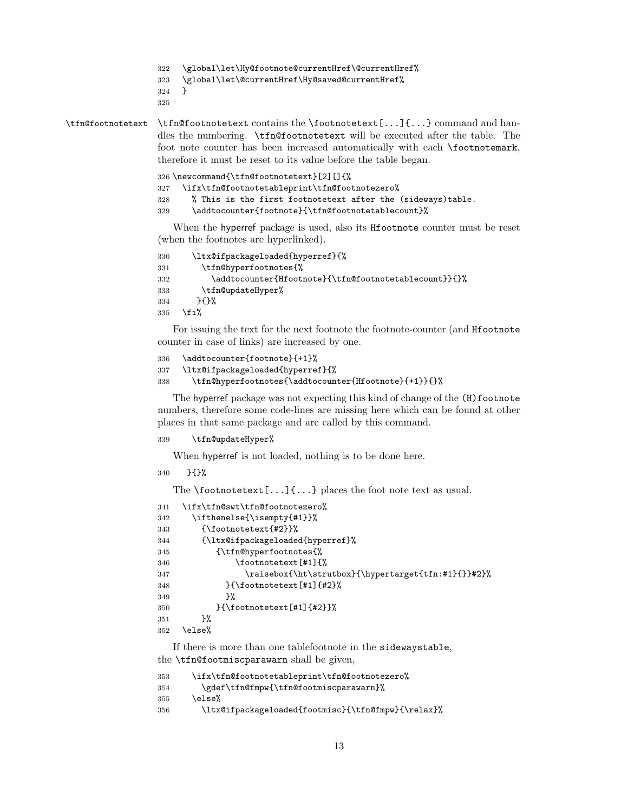```
322 \global\let\Hy@footnote@currentHref\@currentHref%
```

```
323 \global\let\@currentHref\Hy@saved@currentHref%
```

```
324 }
```
<span id="page-12-20"></span>\tfn@footnotetext \tfn@footnotetext contains the \footnotetext[...]{...} command and handles the numbering. \tfn@footnotetext will be executed after the table. The foot note counter has been increased automatically with each \footnotemark, therefore it must be reset to its value before the table began.

<span id="page-12-18"></span><span id="page-12-16"></span>

|     | 326 \newcommand{\tfn@footnotetext}[2][]{%                   |  |  |
|-----|-------------------------------------------------------------|--|--|
|     | 327 \ifx\tfn@footnotetableprint\tfn@footnotezero%           |  |  |
| 328 | % This is the first footnotetext after the (sideways)table. |  |  |
| 329 | \addtocounter{footnote}{\tfn@footnotetablecount}%           |  |  |

<span id="page-12-2"></span>When the hyperref package is used, also its Hfootnote counter must be reset (when the footnotes are hyperlinked).

```
330 \ltx@ifpackageloaded{hyperref}{%
331 \tfn@hyperfootnotes{%
332 \addtocounter{Hfootnote}{\tfn@footnotetablecount}}{}%
333 \tfn@updateHyper%
334 }{}%
335 \fi%
```
For issuing the text for the next footnote the footnote-counter (and Hfootnote counter in case of links) are increased by one.

```
336 \addtocounter{footnote}{+1}%
337 \ltx@ifpackageloaded{hyperref}{%
338 \tfn@hyperfootnotes{\addtocounter{Hfootnote}{+1}}{}%
```
<span id="page-12-5"></span>The hyperref package was not expecting this kind of change of the (H)footnote numbers, therefore some code-lines are missing here which can be found at other places in that same package and are called by this command.

#### <span id="page-12-25"></span>\tfn@updateHyper%

When hyperref is not loaded, nothing is to be done here.

```
340 }{}%
```
The  $\footnotesize{\text{footnotesize:}\quad}$   $\color{red}\text{red}$ ...} places the foot note text as usual.

```
341 \ifx\tfn@swt\tfn@footnotezero%
342 \ifthenelse{\isempty{#1}}%
343 {\footnotetext{#2}}%
344 {\ltx@ifpackageloaded{hyperref}%
345 {\tfn@hyperfootnotes{%
346 \footnotetext[#1]{%
347 \raisebox{\ht\strutbox}{\hypertarget{tfn:#1}{}}#2}%
348 }{\footnotetext[#1]{#2}%
349 }%
350 }{\footnotetext[#1]{#2}}%
351 }%
352 \else%
```
<span id="page-12-9"></span><span id="page-12-8"></span>If there is more than one tablefootnote in the sidewaystable, the \tfn@footmiscparawarn shall be given,

```
353 \ifx\tfn@footnotetableprint\tfn@footnotezero%
354 \gdef\tfn@fmpw{\tfn@footmiscparawarn}%
355 \else%
356 \ltx@ifpackageloaded{footmisc}{\tfn@fmpw}{\relax}%
```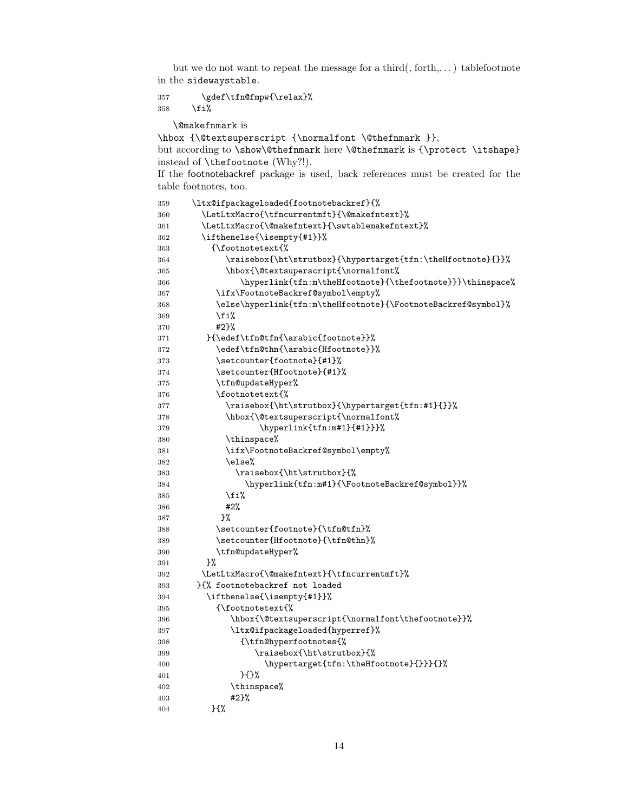but we do not want to repeat the message for a third(, forth,...) tablefootnote in the sidewaystable.

<span id="page-13-28"></span> \gdef\tfn@fmpw{\relax}% 358  $\overline{\text{f}1\text{}}$ 

\@makefnmark is

\hbox {\@textsuperscript {\normalfont \@thefnmark }},

but according to \show\@thefnmark here \@thefnmark is {\protect \itshape} instead of \thefootnote (Why?!).

If the footnotebackref package is used, back references must be created for the table footnotes, too.

<span id="page-13-33"></span><span id="page-13-32"></span><span id="page-13-31"></span><span id="page-13-30"></span><span id="page-13-29"></span><span id="page-13-27"></span><span id="page-13-26"></span><span id="page-13-25"></span><span id="page-13-24"></span><span id="page-13-23"></span><span id="page-13-22"></span><span id="page-13-21"></span><span id="page-13-20"></span><span id="page-13-19"></span><span id="page-13-18"></span><span id="page-13-17"></span><span id="page-13-16"></span><span id="page-13-15"></span><span id="page-13-14"></span><span id="page-13-13"></span><span id="page-13-12"></span><span id="page-13-11"></span><span id="page-13-10"></span><span id="page-13-9"></span><span id="page-13-8"></span><span id="page-13-7"></span><span id="page-13-6"></span><span id="page-13-5"></span><span id="page-13-4"></span><span id="page-13-3"></span><span id="page-13-2"></span><span id="page-13-1"></span><span id="page-13-0"></span>

| 359 | \ltx@ifpackageloaded{footnotebackref}{%                       |
|-----|---------------------------------------------------------------|
| 360 | \LetLtxMacro{\tfncurrentmft}{\@makefntext}%                   |
| 361 | \LetLtxMacro{\@makefntext}{\swtablemakefntext}%               |
| 362 | \ifthenelse{\isempty{#1}}%                                    |
| 363 | {\footnotetext{%                                              |
| 364 | \raisebox{\ht\strutbox}{\hypertarget{tfn:\theHfootnote}{}}%   |
| 365 | \hbox{\@textsuperscript{\normalfont%                          |
| 366 | \hyperlink{tfn:m\theHfootnote}{\thefootnote}}}\thinspace%     |
| 367 | \ifx\FootnoteBackref@symbol\empty%                            |
| 368 | \else\hyperlink{tfn:m\theHfootnote}{\FootnoteBackref@symbol}% |
| 369 | \fi%                                                          |
| 370 | #2}%                                                          |
| 371 | }{\edef\tfn@tfn{\arabic{footnote}}%                           |
| 372 | \edef\tfn@thn{\arabic{Hfootnote}}%                            |
| 373 | \setcounter{footnote}{#1}%                                    |
| 374 | \setcounter{Hfootnote}{#1}%                                   |
| 375 | \tfn@updateHyper%                                             |
| 376 | \footnotetext{%                                               |
| 377 | \raisebox{\ht\strutbox}{\hypertarget{tfn:#1}{}}%              |
| 378 | \hbox{\@textsuperscript{\normalfont%                          |
| 379 | \hyperlink{tfn:m#1}{#1}}}%                                    |
| 380 | \thinspace%                                                   |
| 381 | \ifx\FootnoteBackref@symbol\empty%                            |
| 382 | \else%                                                        |
| 383 | \raisebox{\ht\strutbox}{%                                     |
| 384 | \hyperlink{tfn:m#1}{\FootnoteBackref@symbol}}%                |
| 385 | \fi%                                                          |
| 386 | #2%                                                           |
| 387 | ን%                                                            |
| 388 | \setcounter{footnote}{\tfn@tfn}%                              |
| 389 | \setcounter{Hfootnote}{\tfn@thn}%                             |
| 390 | \tfn@updateHyper%                                             |
| 391 | }‰                                                            |
| 392 | \LetLtxMacro{\@makefntext}{\tfncurrentmft}%                   |
| 393 | H% footnotebackref not loaded                                 |
| 394 | \ifthenelse{\isempty{#1}}%                                    |
| 395 | {\footnotetext{%                                              |
| 396 | \hbox{\@textsuperscript{\normalfont\thefootnote}}%            |
| 397 | \ltx@ifpackageloaded{hyperref}%                               |
| 398 | {\tfn@hyperfootnotes{%                                        |
| 399 | \raisebox{\ht\strutbox}{%                                     |
| 400 | \hypertarget{tfn:\theHfootnote}{}}}{}%                        |
| 401 | ን {}‰                                                         |
| 402 | \thinspace%                                                   |
| 403 | #2}%                                                          |
| 404 | }{%                                                           |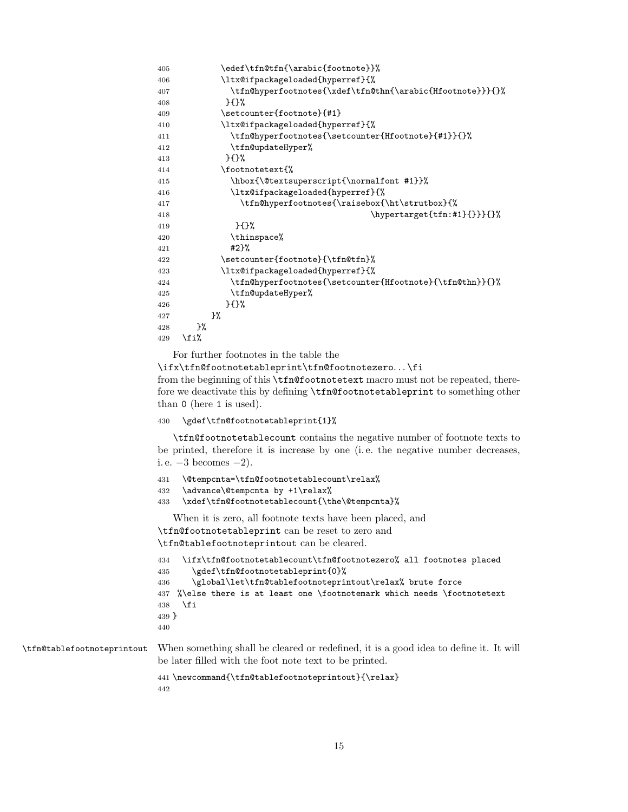```
405 \edef\tfn@tfn{\arabic{footnote}}%
406 \ltx@ifpackageloaded{hyperref}{%
407 \tfn@hyperfootnotes{\xdef\tfn@thn{\arabic{Hfootnote}}}{}%
408 }{}%
409 \setcounter{footnote}{#1}
410 \ltx@ifpackageloaded{hyperref}{%
411 \tfn@hyperfootnotes{\setcounter{Hfootnote}{#1}}{}%
412 \tfn@updateHyper%
413 } {}
414 \footnotetext{%
415 \hbox{\@textsuperscript{\normalfont #1}}%
416 \ltx@ifpackageloaded{hyperref}{%
417 \tfn@hyperfootnotes{\raisebox{\ht\strutbox}{%
418 \hypertarget{tfn:#1}{}}}{}%
419 } {}
420 \thinspace%
421 #2}%
422 \setcounter{footnote}{\tfn@tfn}%
423 \ltx@ifpackageloaded{hyperref}{%
424 \tfn@hyperfootnotes{\setcounter{Hfootnote}{\tfn@thn}}{}%
425 \tfn@updateHyper%
426 }{}%
427 }%
428 }%
429 \{f_i\}
```
<span id="page-14-25"></span><span id="page-14-16"></span><span id="page-14-15"></span><span id="page-14-11"></span><span id="page-14-7"></span>For further footnotes in the table the

\ifx\tfn@footnotetableprint\tfn@footnotezero. . . \fi from the beginning of this \tfn@footnotetext macro must not be repeated, therefore we deactivate this by defining \tfn@footnotetableprint to something other than 0 (here 1 is used).

#### <span id="page-14-18"></span>\gdef\tfn@footnotetableprint{1}%

\tfn@footnotetablecount contains the negative number of footnote texts to be printed, therefore it is increase by one (i. e. the negative number decreases, i. e.  $-3$  becomes  $-2$ ).

```
431 \@tempcnta=\tfn@footnotetablecount\relax%
```

```
432 \advance\@tempcnta by +1\relax%
```

```
433 \xdef\tfn@footnotetablecount{\the\@tempcnta}%
```
When it is zero, all footnote texts have been placed, and \tfn@footnotetableprint can be reset to zero and \tfn@tablefootnoteprintout can be cleared.

```
434 \ifx\tfn@footnotetablecount\tfn@footnotezero% all footnotes placed
435 \gdef\tfn@footnotetableprint{0}%
436 \global\let\tfn@tablefootnoteprintout\relax% brute force
437 %\else there is at least one \footnotemark which needs \footnotetext
438 \fi
439 }
440
```
<span id="page-14-22"></span>\tfn@tablefootnoteprintout When something shall be cleared or redefined, it is a good idea to define it. It will be later filled with the foot note text to be printed.

> <span id="page-14-12"></span> \newcommand{\tfn@tablefootnoteprintout}{\relax}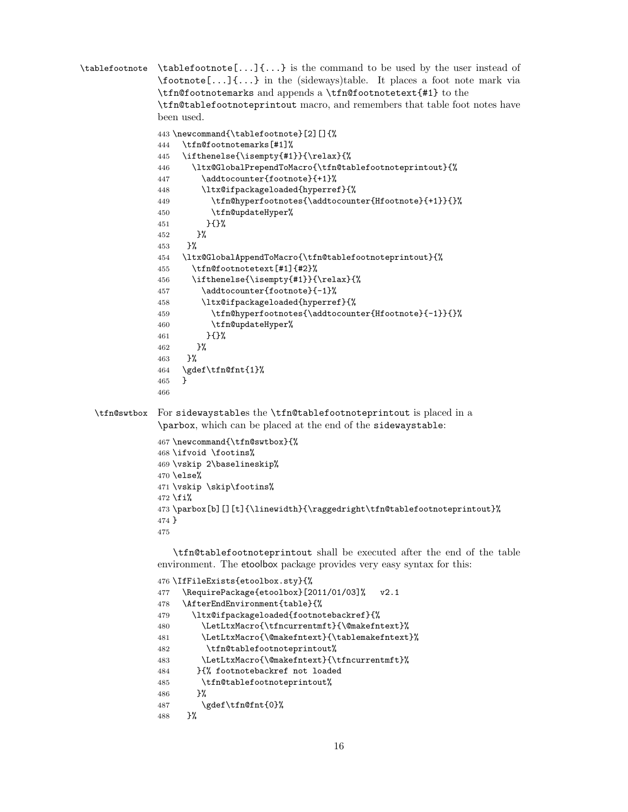```
\tablefootnote \tablefootnote[...]\{... \} is the command to be used by the user instead of
               \footnote[...]{...} in the (sideways)table. It places a foot note mark via
               \tfn@footnotemarks and appends a \tfn@footnotetext{#1} to the
               \tfn@tablefootnoteprintout macro, and remembers that table foot notes have
               been used.
               443 \newcommand{\tablefootnote}[2][]{%
               444 \tfn@footnotemarks[#1]%
               445 \ifthenelse{\isempty{#1}}{\relax}{%
               446 \ltx@GlobalPrependToMacro{\tfn@tablefootnoteprintout}{%
               447 \addtocounter{footnote}{+1}%
               448 \ltx@ifpackageloaded{hyperref}{%
               449 \tfn@hyperfootnotes{\addtocounter{Hfootnote}{+1}}{}%
               450 \tfn@updateHyper%
               451 }{}%
               452 }%
               453 }%
               454 \ltx@GlobalAppendToMacro{\tfn@tablefootnoteprintout}{%
               455 \tfn@footnotetext[#1]{#2}%
               456 \ifthenelse{\isempty{#1}}{\relax}{%
               457 \addtocounter{footnote}{-1}%
               458 \ltx@ifpackageloaded{hyperref}{%
               459 \tfn@hyperfootnotes{\addtocounter{Hfootnote}{-1}}{}%
               460 \tfn@updateHyper%
               461 }{}%
               462 }%
               463 }%
               464 \gdef\tfn@fnt{1}%
               465 }
               466
  \tfn@swtbox For sidewaystables the \tfn@tablefootnoteprintout is placed in a
               \parbox, which can be placed at the end of the sidewaystable:
               467 \newcommand{\tfn@swtbox}{%
               468 \ifvoid \footins%
               469 \vskip 2\baselineskip%
               470 \text{else}%
               471 \vskip \skip\footins%
               472 \fi%
               473 \parbox[b][][t]{\linewidth}{\raggedright\tfn@tablefootnoteprintout}%
               474 }
               475
                  \tfn@tablefootnoteprintout shall be executed after the end of the table
               environment. The etoolbox package provides very easy syntax for this:
               476 \IfFileExists{etoolbox.sty}{%
               477 \RequirePackage{etoolbox}[2011/01/03]% v2.1
               478 \AfterEndEnvironment{table}{%
               479 \ltx@ifpackageloaded{footnotebackref}{%
               480 \LetLtxMacro{\tfncurrentmft}{\@makefntext}%
               481 \LetLtxMacro{\@makefntext}{\tablemakefntext}%
               482 \tfn@tablefootnoteprintout%
               483 \LetLtxMacro{\@makefntext}{\tfncurrentmft}%
               484 }{% footnotebackref not loaded
               485 \tfn@tablefootnoteprintout%
               486 }%
```

```
487 \gdef\tfn@fnt{0}%
```

```
488 }%
```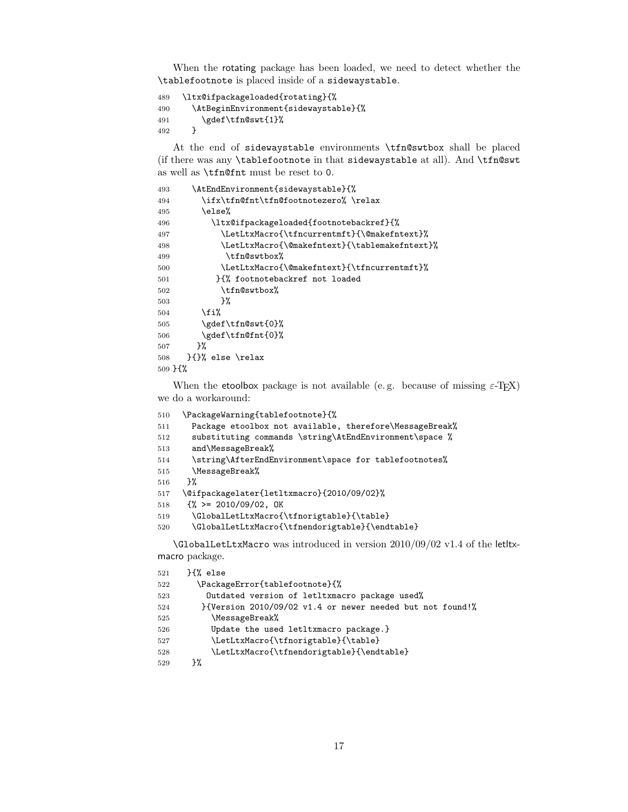When the rotating package has been loaded, we need to detect whether the \tablefootnote is placed inside of a sidewaystable.

```
489 \ltx@ifpackageloaded{rotating}{%
490 \AtBeginEnvironment{sidewaystable}{%
491 \gdef\tfn@swt{1}%
492 }
```
At the end of sidewaystable environments \tfn@swtbox shall be placed (if there was any \tablefootnote in that sidewaystable at all). And \tfn@swt as well as \tfn@fnt must be reset to 0.

```
493 \AtEndEnvironment{sidewaystable}{%
494 \ifx\tfn@fnt\tfn@footnotezero% \relax
495 \else%
496 \ltx@ifpackageloaded{footnotebackref}{%
497 \LetLtxMacro{\tfncurrentmft}{\@makefntext}%
498 \LetLtxMacro{\@makefntext}{\tablemakefntext}%
499 \tfn@swtbox%
500 \LetLtxMacro{\@makefntext}{\tfncurrentmft}%
501 }{% footnotebackref not loaded
502 \tfn@swtbox%
503 }%
504 \fi%
505 \gdef\tfn@swt{0}%
506 \gdef\tfn@fnt{0}%
507 }%
508 }{}% else \relax
509 }{%
```
<span id="page-16-21"></span><span id="page-16-19"></span><span id="page-16-17"></span>When the etoolbox package is not available (e.g. because of missing  $\varepsilon$ -T<sub>E</sub>X) we do a workaround:

```
510 \PackageWarning{tablefootnote}{%
511 Package etoolbox not available, therefore\MessageBreak%
512 substituting commands \string\AtEndEnvironment\space %
513 and\MessageBreak%
514 \string\AfterEndEnvironment\space for tablefootnotes%
515 \MessageBreak%
516 }%
517 \@ifpackagelater{letltxmacro}{2010/09/02}%
518 {% >= 2010/09/02, OK
519 \GlobalLetLtxMacro{\tfnorigtable}{\table}
520 \GlobalLetLtxMacro{\tfnendorigtable}{\endtable}
```
<span id="page-16-10"></span><span id="page-16-8"></span><span id="page-16-0"></span>\GlobalLetLtxMacro was introduced in version 2010/09/02 v1.4 of the letltxmacro package.

<span id="page-16-14"></span><span id="page-16-11"></span><span id="page-16-9"></span>

| \PackageError{tablefootnote}{%<br>522<br>Outdated version of letltxmacro package used%<br>523<br>$\frac{1}{2}$ {Version 2010/09/02 v1.4 or newer needed but not found!<br>524 |  |
|-------------------------------------------------------------------------------------------------------------------------------------------------------------------------------|--|
|                                                                                                                                                                               |  |
|                                                                                                                                                                               |  |
|                                                                                                                                                                               |  |
| \MessageBreak%<br>525                                                                                                                                                         |  |
| Update the used letltxmacro package.}<br>526                                                                                                                                  |  |
| \LetLtxMacro{\tfnorigtable}{\table}<br>527                                                                                                                                    |  |
| \LetLtxMacro{\tfnendorigtable}{\endtable}<br>528                                                                                                                              |  |
| ጉ%<br>529                                                                                                                                                                     |  |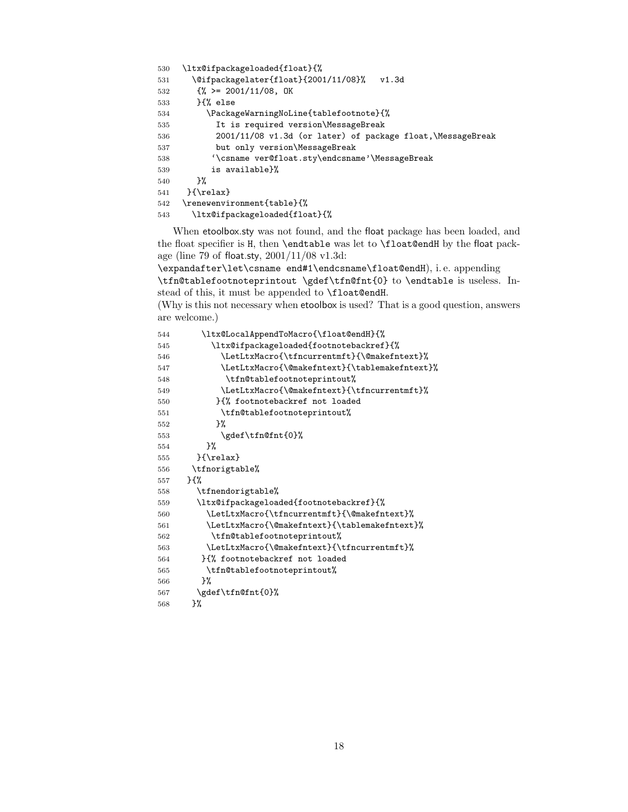```
530 \ltx@ifpackageloaded{float}{%
531 \@ifpackagelater{float}{2001/11/08}% v1.3d
532 \{\% \ge 2001/11/08, \text{OK}\}533 }{% else
534 \PackageWarningNoLine{tablefootnote}{%
535 It is required version\MessageBreak
536 2001/11/08 v1.3d (or later) of package float,\MessageBreak
537 but only version\MessageBreak
538 '\csname ver@float.sty\endcsname'\MessageBreak
539 is available}%
540 }%
541 }{\relax}
542 \renewenvironment{table}{%
543 \ltx@ifpackageloaded{float}{%
```
<span id="page-17-14"></span><span id="page-17-10"></span><span id="page-17-7"></span>When etoolbox.sty was not found, and the float package has been loaded, and the float specifier is H, then \endtable was let to \float@endH by the float package (line 79 of float.sty, 2001/11/08 v1.3d:

\expandafter\let\csname end#1\endcsname\float@endH), i. e. appending \tfn@tablefootnoteprintout \gdef\tfn@fnt{0} to \endtable is useless. Instead of this, it must be appended to \float@endH.

(Why is this not necessary when etoolbox is used? That is a good question, answers are welcome.)

<span id="page-17-22"></span><span id="page-17-21"></span><span id="page-17-20"></span><span id="page-17-19"></span><span id="page-17-18"></span><span id="page-17-17"></span><span id="page-17-16"></span><span id="page-17-15"></span><span id="page-17-12"></span><span id="page-17-11"></span><span id="page-17-8"></span><span id="page-17-6"></span><span id="page-17-5"></span><span id="page-17-4"></span><span id="page-17-3"></span><span id="page-17-2"></span><span id="page-17-1"></span>

| 544 | \ltx@LocalAppendToMacro{\float@endH}{%        |
|-----|-----------------------------------------------|
| 545 | \ltx@ifpackageloaded{footnotebackref}{%       |
| 546 | \LetLtxMacro{\tfncurrentmft}{\@makefntext}%   |
| 547 | \LetLtxMacro{\@makefntext}{\tablemakefntext}% |
| 548 | \tfn@tablefootnoteprintout%                   |
| 549 | \LetLtxMacro{\@makefntext}{\tfncurrentmft}%   |
| 550 | H% footnotebackref not loaded                 |
| 551 | \tfn@tablefootnoteprintout%                   |
| 552 | ን%                                            |
| 553 | \gdef\tfn@fnt{0}%                             |
| 554 | ጉ%                                            |
| 555 | $}$ \relax}                                   |
| 556 | \tfnorigtable%                                |
| 557 | ን የአ                                          |
| 558 | \tfnendorigtable%                             |
| 559 | \ltx@ifpackageloaded{footnotebackref}{%       |
| 560 | \LetLtxMacro{\tfncurrentmft}{\@makefntext}%   |
| 561 | \LetLtxMacro{\@makefntext}{\tablemakefntext}% |
| 562 | \tfn@tablefootnoteprintout%                   |
| 563 | \LetLtxMacro{\@makefntext}{\tfncurrentmft}%   |
| 564 | H% footnotebackref not loaded                 |
| 565 | \tfn@tablefootnoteprintout%                   |
| 566 | }‰                                            |
| 567 | \gdef\tfn@fnt{0}%                             |
| 568 | }%                                            |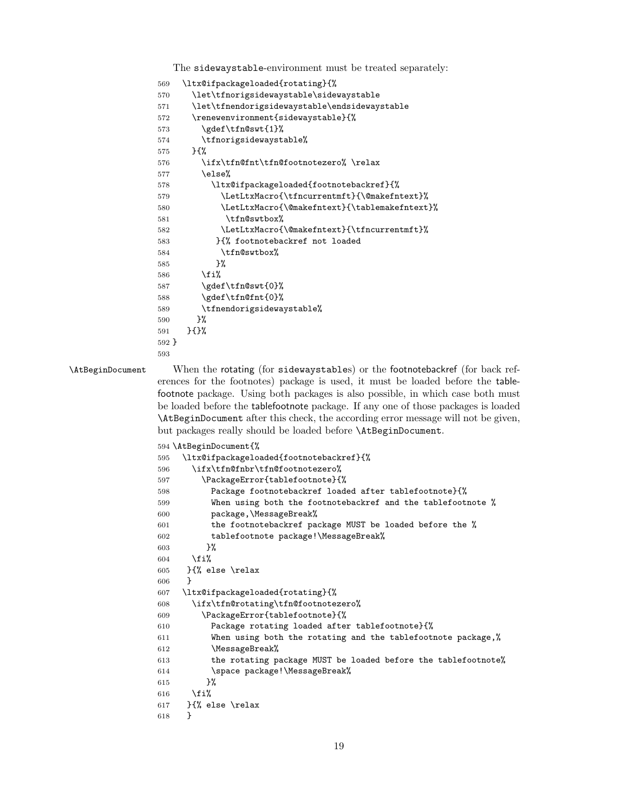The sidewaystable-environment must be treated separately:

```
569 \ltx@ifpackageloaded{rotating}{%
570 \let\tfnorigsidewaystable\sidewaystable
571 \let\tfnendorigsidewaystable\endsidewaystable
572 \renewenvironment{sidewaystable}{%
573 \gdef\tfn@swt{1}%
574 \tfnorigsidewaystable%
575 }{%
576 \ifx\tfn@fnt\tfn@footnotezero% \relax
577 \text{lelse}%
578 \ltx@ifpackageloaded{footnotebackref}{%
579 \LetLtxMacro{\tfncurrentmft}{\@makefntext}%
580 \LetLtxMacro{\@makefntext}{\tablemakefntext}%
581 \tfn@swtbox%
582 \LetLtxMacro{\@makefntext}{\tfncurrentmft}%
583 }{% footnotebackref not loaded
584 \tfn@swtbox%
585 }%
586 \overline{if'_s}587 \gdef\tfn@swt{0}%
588 \gdef\tfn@fnt{0}%
589 \tfnendorigsidewaystable%
590 }%
591 }{}%
592 }
593
```
<span id="page-18-22"></span><span id="page-18-21"></span><span id="page-18-19"></span><span id="page-18-16"></span>\AtBeginDocument When the rotating (for sidewaystables) or the footnotebackref (for back references for the footnotes) package is used, it must be loaded before the tablefootnote package. Using both packages is also possible, in which case both must be loaded before the tablefootnote package. If any one of those packages is loaded \AtBeginDocument after this check, the according error message will not be given, but packages really should be loaded before \AtBeginDocument.

```
594 \AtBeginDocument{%
```

```
595 \ltx@ifpackageloaded{footnotebackref}{%
596 \ifx\tfn@fnbr\tfn@footnotezero%
597 \PackageError{tablefootnote}{%
598 Package footnotebackref loaded after tablefootnote}{%
599 When using both the footnotebackref and the tablefootnote %
600 package,\MessageBreak%
601 the footnotebackref package MUST be loaded before the %
602 tablefootnote package!\MessageBreak%
603 }%
604 \fi%
605 }{% else \relax
606 }
607 \ltx@ifpackageloaded{rotating}{%
608 \ifx\tfn@rotating\tfn@footnotezero%
609 \PackageError{tablefootnote}{%
610 Package rotating loaded after tablefootnote}{%
611 When using both the rotating and the tablefootnote package,%
612 \MessageBreak%
613 the rotating package MUST be loaded before the tablefootnote%
614 \space package!\MessageBreak%
615 }%
616 \{f_i\}617 }{% else \relax
618 }
```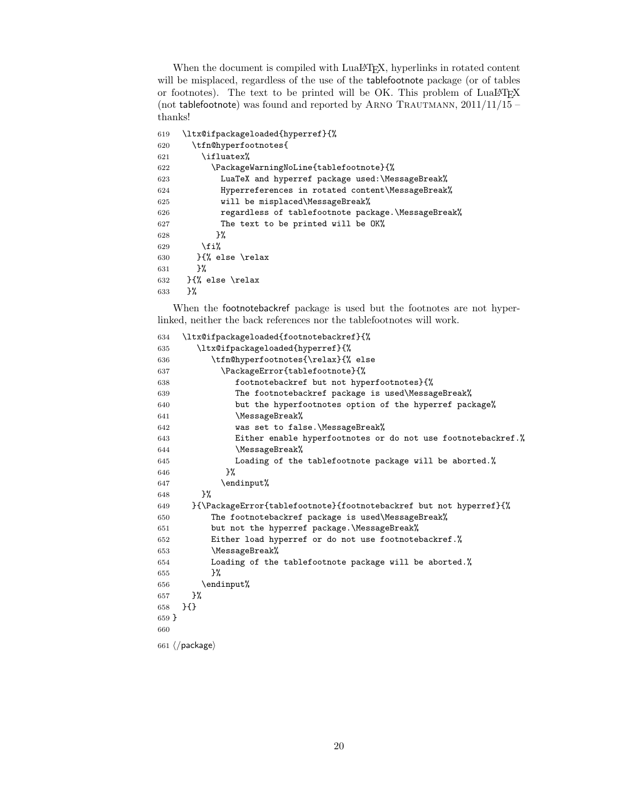When the document is compiled with LuaLAT<sub>E</sub>X, hyperlinks in rotated content will be misplaced, regardless of the use of the tablefootnote package (or of tables or footnotes). The text to be printed will be OK. This problem of LuaLATEX (not tablefootnote) was found and reported by ARNO TRAUTMANN,  $2011/11/15$  – thanks!

```
619 \ltx@ifpackageloaded{hyperref}{%
620 \tfn@hyperfootnotes{
621 \ifluatex%
622 \PackageWarningNoLine{tablefootnote}{%
623 LuaTeX and hyperref package used:\MessageBreak%
624 Hyperreferences in rotated content\MessageBreak%
625 will be misplaced\MessageBreak%
626 regardless of tablefootnote package.\MessageBreak%
627 The text to be printed will be OK%
628 }%
629 \overrightarrow{f_1}630 }{% else \relax
631 }%
632 }{% else \relax
633 }%
```
When the footnotebackref package is used but the footnotes are not hyperlinked, neither the back references nor the tablefootnotes will work.

<span id="page-19-10"></span><span id="page-19-7"></span><span id="page-19-6"></span><span id="page-19-5"></span><span id="page-19-4"></span><span id="page-19-1"></span><span id="page-19-0"></span>

| 634     | \ltx@ifpackageloaded{footnotebackref}{%                            |
|---------|--------------------------------------------------------------------|
| 635     | \ltx@ifpackageloaded{hyperref}{%                                   |
| 636     | \tfn@hyperfootnotes{\relax}{% else                                 |
| 637     | \PackageError{tablefootnote}{%                                     |
| 638     | footnotebackref but not hyperfootnotes}{%                          |
| 639     | The footnotebackref package is used\MessageBreak%                  |
| 640     | but the hyperfootnotes option of the hyperref package%             |
| 641     | \MessageBreak%                                                     |
| 642     | was set to false. \MessageBreak%                                   |
| 643     | Either enable hyperfootnotes or do not use footnotebackref.%       |
| 644     | \MessageBreak%                                                     |
| 645     | Loading of the tablefootnote package will be aborted.%             |
| 646     | }‰                                                                 |
| 647     | \endinput%                                                         |
| 648     | }‰                                                                 |
| 649     | }{\PackageError{tablefootnote}{footnotebackref but not hyperref}{% |
| 650     | The footnotebackref package is used\MessageBreak%                  |
| 651     | but not the hyperref package. \MessageBreak%                       |
| 652     | Either load hyperref or do not use footnotebackref.%               |
| 653     | \MessageBreak%                                                     |
| 654     | Loading of the tablefootnote package will be aborted.%             |
| 655     | }‰                                                                 |
| 656     | \endinput%                                                         |
| 657     | }‰                                                                 |
| 658     | H                                                                  |
| $659$ } |                                                                    |
| 660     |                                                                    |
|         | $661 \; \langle$ /package)                                         |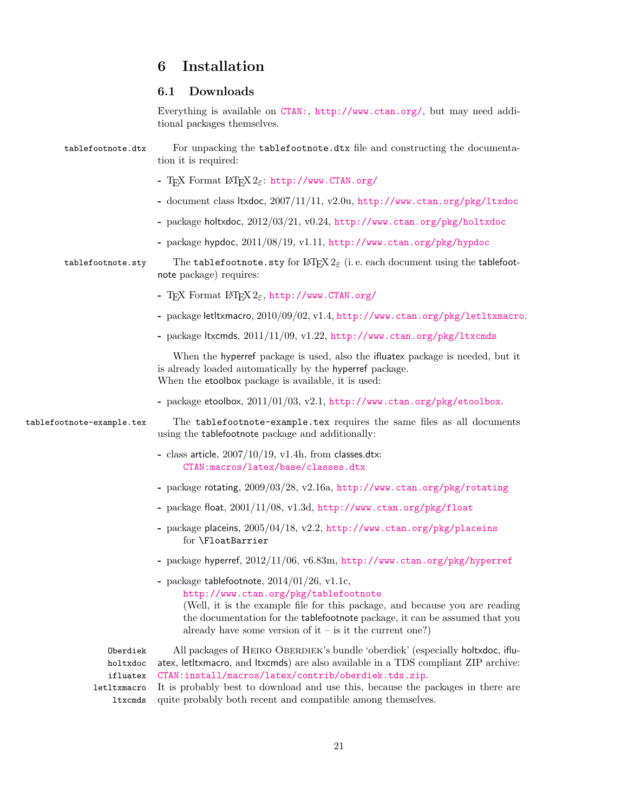# <span id="page-20-0"></span>6 Installation

# <span id="page-20-1"></span>6.1 Downloads

<span id="page-20-5"></span><span id="page-20-4"></span><span id="page-20-3"></span>Everything is available on [CTAN:](ftp://ftp.ctan.org/tex-archive/), <http://www.ctan.org/>, but may need additional packages themselves.

<span id="page-20-2"></span>

| tablefootnote.dtx         | For unpacking the tablefootnote.dtx file and constructing the documenta-<br>tion it is required:                                                                                                                                                                                                                   |
|---------------------------|--------------------------------------------------------------------------------------------------------------------------------------------------------------------------------------------------------------------------------------------------------------------------------------------------------------------|
|                           | - TEX Format IATEX $2\varepsilon$ : http://www.CTAN.org/                                                                                                                                                                                                                                                           |
|                           | - document class ltxdoc, 2007/11/11, v2.0u, http://www.ctan.org/pkg/1txdoc                                                                                                                                                                                                                                         |
|                           | - package holtxdoc, 2012/03/21, v0.24, http://www.ctan.org/pkg/holtxdoc                                                                                                                                                                                                                                            |
|                           | - package hypdoc, 2011/08/19, v1.11, http://www.ctan.org/pkg/hypdoc                                                                                                                                                                                                                                                |
| tablefootnote.sty         | The tablefootnote.sty for $\mathbb{H}\mathrm{F} \times \mathbb{L}_{\mathcal{E}}$ (i.e. each document using the tablefoot-<br>note package) requires:                                                                                                                                                               |
|                           | - T <sub>F</sub> X Format IAT <sub>F</sub> X $2\varepsilon$ , http://www.CTAN.org/                                                                                                                                                                                                                                 |
|                           | - package letltxmacro, 2010/09/02, v1.4, http://www.ctan.org/pkg/letltxmacro.                                                                                                                                                                                                                                      |
|                           | - package ltxcmds, 2011/11/09, v1.22, http://www.ctan.org/pkg/ltxcmds                                                                                                                                                                                                                                              |
|                           | When the hyperref package is used, also the ifluatex package is needed, but it<br>is already loaded automatically by the hyperref package.<br>When the etoolbox package is available, it is used:                                                                                                                  |
|                           | - package etoolbox, $2011/01/03$ , v2.1, http://www.ctan.org/pkg/etoolbox.                                                                                                                                                                                                                                         |
| tablefootnote-example.tex | The tablefootnote-example.tex requires the same files as all documents<br>using the tablefootnote package and additionally:                                                                                                                                                                                        |
|                           | - class article, $2007/10/19$ , v1.4h, from classes.dtx:<br>CTAN: macros/latex/base/classes.dtx                                                                                                                                                                                                                    |
|                           | - package rotating, 2009/03/28, v2.16a, http://www.ctan.org/pkg/rotating                                                                                                                                                                                                                                           |
|                           | - package float, 2001/11/08, v1.3d, http://www.ctan.org/pkg/float                                                                                                                                                                                                                                                  |
|                           | - package placeins, 2005/04/18, v2.2, http://www.ctan.org/pkg/placeins<br>for \FloatBarrier                                                                                                                                                                                                                        |
|                           | - package hyperref, 2012/11/06, v6.83m, http://www.ctan.org/pkg/hyperref                                                                                                                                                                                                                                           |
|                           | - package tablefootnote, $2014/01/26$ , v1.1c,<br>http://www.ctan.org/pkg/tablefootnote<br>(Well, it is the example file for this package, and because you are reading<br>the documentation for the tablefootnote package, it can be assumed that you<br>already have some version of it – is it the current one?) |
| Oberdiek                  | All packages of HEIKO OBERDIEK's bundle 'oberdiek' (especially holtxdoc, iflu-                                                                                                                                                                                                                                     |
| holtxdoc<br>ifluatex      | atex, letltxmacro, and ltxcmds) are also available in a TDS compliant ZIP archive:<br>CTAN:install/macros/latex/contrib/oberdiek.tds.zip.                                                                                                                                                                          |
| letltxmacro               | It is probably best to download and use this, because the packages in there are                                                                                                                                                                                                                                    |
| ltxcmds                   | quite probably both recent and compatible among themselves.                                                                                                                                                                                                                                                        |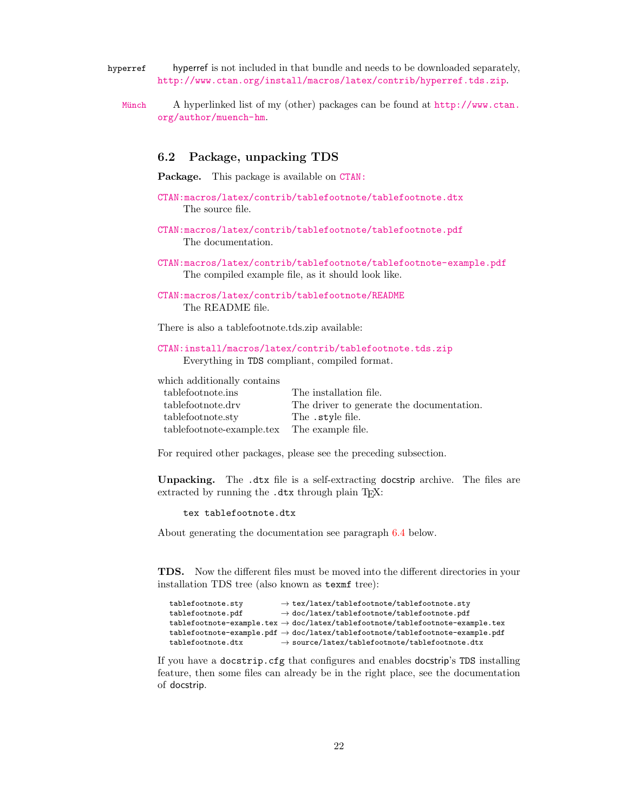- <span id="page-21-1"></span>hyperref hyperref is not included in that bundle and needs to be downloaded separately, <http://www.ctan.org/install/macros/latex/contrib/hyperref.tds.zip>.
	- Münch [A hyperlinked list of my \(other\) packages can be found at](http://www.ctan.org/author/muench-hm) [http://www.ctan.](http://www.ctan.org/author/muench-hm) [org/author/muench-hm](http://www.ctan.org/author/muench-hm).

#### <span id="page-21-2"></span><span id="page-21-0"></span>6.2 Package, unpacking TDS

Package. This package is available on [CTAN:](ftp://ftp.ctan.org/tex-archive/)

- [CTAN:macros/latex/contrib/tablefootnote/tablefootnote.dtx](ftp://ftp.ctan.org/tex-archive/macros/latex/contrib/tablefootnote/tablefootnote.dtx) The source file.
- [CTAN:macros/latex/contrib/tablefootnote/tablefootnote.pdf](ftp://ftp.ctan.org/tex-archive/macros/latex/contrib/tablefootnote/tablefootnote.pdf) The documentation.
- [CTAN:macros/latex/contrib/tablefootnote/tablefootnote-example.pdf](ftp://ftp.ctan.org/tex-archive/macros/latex/contrib/tablefootnote/tablefootnote-example.pdf) The compiled example file, as it should look like.
- [CTAN:macros/latex/contrib/tablefootnote/README](ftp://ftp.ctan.org/tex-archive/macros/latex/contrib/tablefootnote/README) The README file.

There is also a tablefootnote.tds.zip available:

#### [CTAN:install/macros/latex/contrib/tablefootnote.tds.zip](ftp://ftp.ctan.org/tex-archive/install/macros/latex/contrib/tablefootnote.tds.zip) Everything in TDS compliant, compiled format.

which additionally contains

| tablefootnote.ins                           | The installation file.                    |
|---------------------------------------------|-------------------------------------------|
| tablefootnote.drv                           | The driver to generate the documentation. |
| tablefootnote.sty                           | The .style file.                          |
| tablefootnote-example.tex The example file. |                                           |

For required other packages, please see the preceding subsection.

Unpacking. The .dtx file is a self-extracting docstrip archive. The files are extracted by running the  $.$ dtx through plain T<sub>E</sub>X:

#### tex tablefootnote.dtx

About generating the documentation see paragraph [6.4](#page-22-4) below.

TDS. Now the different files must be moved into the different directories in your installation TDS tree (also known as texmf tree):

| tablefootnote.sty | $\rightarrow$ tex/latex/tablefootnote/tablefootnote.sty                                                       |
|-------------------|---------------------------------------------------------------------------------------------------------------|
| tablefootnote.pdf | $\rightarrow$ doc/latex/tablefootnote/tablefootnote.pdf                                                       |
|                   | ${\tt tablefootnote\text{-}example.tex} \rightarrow doc/later/tablefootnote/tablefootnote\text{-}example.tex$ |
|                   | ${\tt tablefootnote\text{-}example.pdf\to doc/lates/tablefootnote/tablefootnote\text{-}example.pdf}$          |
| tablefootnote.dtx | $\rightarrow$ source/latex/tablefootnote/tablefootnote.dtx                                                    |

If you have a docstrip.cfg that configures and enables docstrip's TDS installing feature, then some files can already be in the right place, see the documentation of docstrip.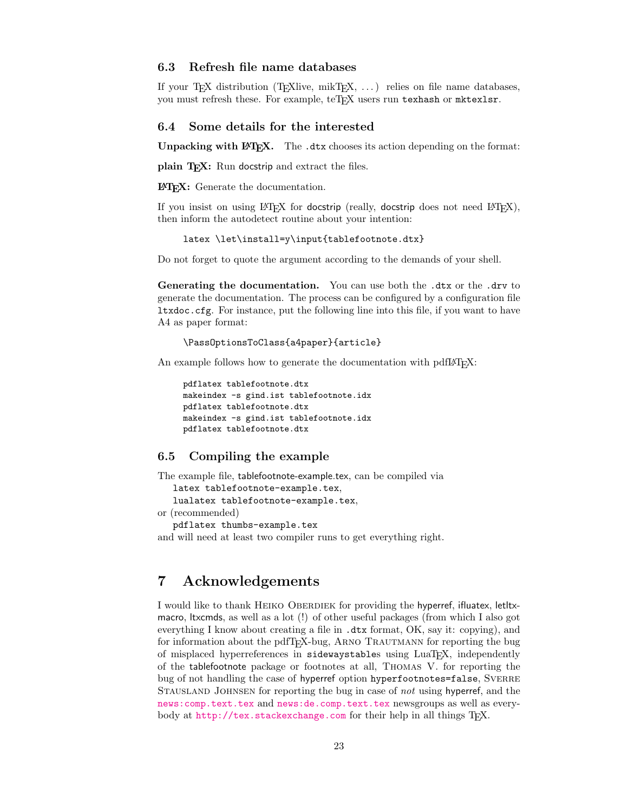#### <span id="page-22-0"></span>6.3 Refresh file name databases

If your TEX distribution (TEXlive, mikTEX, . . . ) relies on file name databases, you must refresh these. For example, teTFX users run texhash or mktexlsr.

#### <span id="page-22-1"></span>6.4 Some details for the interested

**Unpacking with LATEX.** The  $\cdot$  dtx chooses its action depending on the format:

plain T<sub>E</sub>X: Run docstrip and extract the files.

LATEX: Generate the documentation.

If you insist on using  $L^2T_FX$  for docstrip (really, docstrip does not need  $L^2T_FX$ ), then inform the autodetect routine about your intention:

latex \let\install=y\input{tablefootnote.dtx}

Do not forget to quote the argument according to the demands of your shell.

<span id="page-22-4"></span>Generating the documentation. You can use both the .dtx or the .drv to generate the documentation. The process can be configured by a configuration file ltxdoc.cfg. For instance, put the following line into this file, if you want to have A4 as paper format:

```
\PassOptionsToClass{a4paper}{article}
```
An example follows how to generate the documentation with pdfI $\Delta T$ FX:

```
pdflatex tablefootnote.dtx
makeindex -s gind.ist tablefootnote.idx
pdflatex tablefootnote.dtx
makeindex -s gind.ist tablefootnote.idx
pdflatex tablefootnote.dtx
```
#### <span id="page-22-2"></span>6.5 Compiling the example

The example file, tablefootnote-example.tex, can be compiled via

latex tablefootnote-example.tex,

lualatex tablefootnote-example.tex,

or (recommended)

pdflatex thumbs-example.tex

and will need at least two compiler runs to get everything right.

# <span id="page-22-3"></span>7 Acknowledgements

I would like to thank HEIKO OBERDIEK for providing the hyperref, ifluatex, let txmacro, ltxcmds, as well as a lot (!) of other useful packages (from which I also got everything I know about creating a file in .dtx format, OK, say it: copying), and for information about the pdfTEX-bug, ARNO TRAUTMANN for reporting the bug of misplaced hyperreferences in sidewaystables using LuaT<sub>E</sub>X, independently of the tablefootnote package or footnotes at all, Thomas V. for reporting the bug of not handling the case of hyperref option hyperfootnotes=false, SVERRE Stausland Johnsen for reporting the bug in case of not using hyperref, and the [news:comp.text.tex](http://groups.google.com/group/comp.text.tex/topics) and [news:de.comp.text.tex](http://groups.google.com/group/de.comp.text.tex/topics) newsgroups as well as everybody at <http://tex.stackexchange.com> for their help in all things TFX.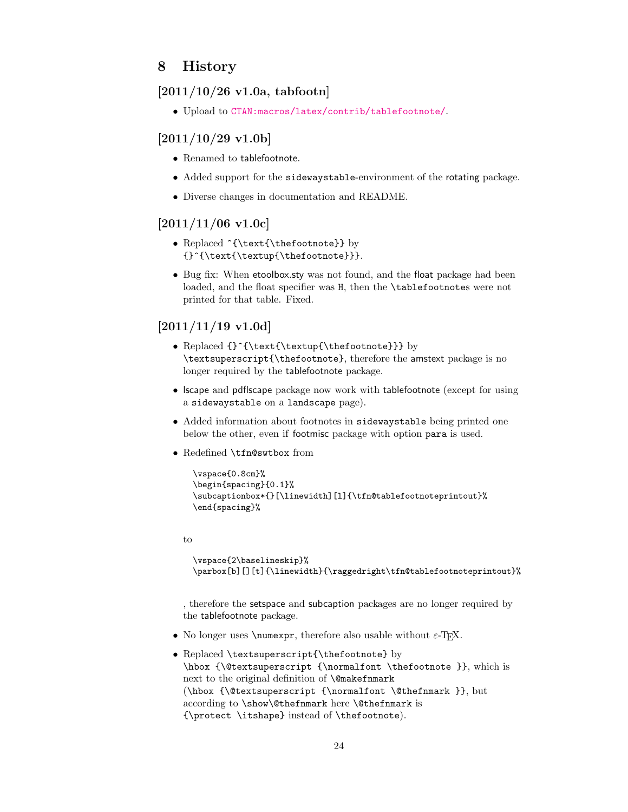# <span id="page-23-0"></span>8 History

### <span id="page-23-1"></span>[2011/10/26 v1.0a, tabfootn]

• Upload to [CTAN:macros/latex/contrib/tablefootnote/](ftp://ftp.ctan.org/tex-archive/macros/latex/contrib/tablefootnote/).

# <span id="page-23-2"></span> $[2011/10/29 \text{ v}1.06]$

- Renamed to tablefootnote.
- Added support for the sidewaystable-environment of the rotating package.
- Diverse changes in documentation and README.

### <span id="page-23-3"></span> $[2011/11/06 \text{ v}1.0c]$

- Replaced ^{\text{\thefootnote}} by {}^{\text{\textup{\thefootnote}}}.
- Bug fix: When etoolbox.sty was not found, and the float package had been loaded, and the float specifier was H, then the \tablefootnotes were not printed for that table. Fixed.

# <span id="page-23-4"></span> $[2011/11/19 \text{ v}1.0d]$

- Replaced  ${\text\text{\tt\thefootnote}}$  by \textsuperscript{\thefootnote}, therefore the amstext package is no longer required by the tablefootnote package.
- lscape and pdflscape package now work with tablefootnote (except for using a sidewaystable on a landscape page).
- Added information about footnotes in sidewaystable being printed one below the other, even if footmisc package with option para is used.
- Redefined \tfn@swtbox from

```
\vspace{0.8cm}%
\begin{spacing}{0.1}%
\subcaptionbox*{}[\linewidth][l]{\tfn@tablefootnoteprintout}%
\end{spacing}%
```
to

```
\vspace{2\baselineskip}%
\parbox[b][][t]{\linewidth}{\raggedright\tfn@tablefootnoteprintout}%
```
, therefore the setspace and subcaption packages are no longer required by the tablefootnote package.

- No longer uses  $\text{per},$  therefore also usable without  $\varepsilon$ -T<sub>E</sub>X.
- Replaced \textsuperscript{\thefootnote} by \hbox {\@textsuperscript {\normalfont \thefootnote }}, which is next to the original definition of **\@makefnmark** (\hbox {\@textsuperscript {\normalfont \@thefnmark }}, but according to \show\@thefnmark here \@thefnmark is {\protect \itshape} instead of \thefootnote).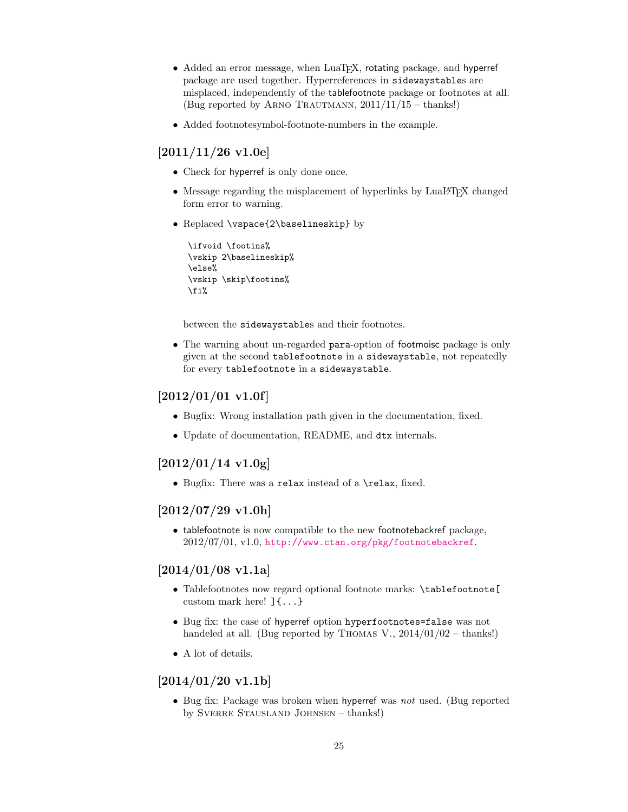- Added an error message, when LuaTEX, rotating package, and hyperref package are used together. Hyperreferences in sidewaystables are misplaced, independently of the tablefootnote package or footnotes at all. (Bug reported by ARNO TRAUTMANN,  $2011/11/15$  – thanks!)
- Added footnotesymbol-footnote-numbers in the example.

# <span id="page-24-0"></span> $[2011/11/26 \text{ v}1.0e]$

- Check for hyperref is only done once.
- Message regarding the misplacement of hyperlinks by LuaLATEX changed form error to warning.
- Replaced \vspace{2\baselineskip} by

```
\ifvoid \footins%
\vskip 2\baselineskip%
\else%
\vskip \skip\footins%
\fi%
```
between the sidewaystables and their footnotes.

• The warning about un-regarded para-option of footmoisc package is only given at the second tablefootnote in a sidewaystable, not repeatedly for every tablefootnote in a sidewaystable.

# <span id="page-24-1"></span> $[2012/01/01 \text{ v}1.0f]$

- Bugfix: Wrong installation path given in the documentation, fixed.
- Update of documentation, README, and dtx internals.

## <span id="page-24-2"></span> $[2012/01/14 \text{ v}1.0 \text{g}]$

• Bugfix: There was a relax instead of a \relax, fixed.

### <span id="page-24-3"></span> $[2012/07/29 \text{ v}1.0h]$

• tablefootnote is now compatible to the new footnotebackref package, 2012/07/01, v1.0, <http://www.ctan.org/pkg/footnotebackref>.

# <span id="page-24-4"></span> $[2014/01/08 \text{ v}1.1a]$

- Tablefootnotes now regard optional footnote marks: \tablefootnote[ custom mark here! ]{...}
- Bug fix: the case of hyperref option hyperfootnotes=false was not handeled at all. (Bug reported by THOMAS V.,  $2014/01/02 -$  thanks!)
- A lot of details.

# <span id="page-24-5"></span> $[2014/01/20 v1.1b]$

• Bug fix: Package was broken when hyperref was not used. (Bug reported by Sverre Stausland Johnsen – thanks!)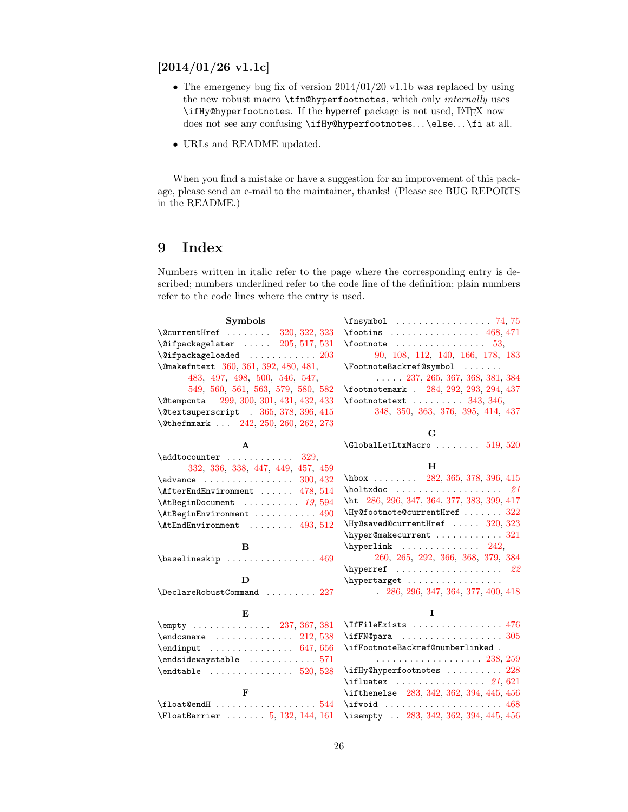# <span id="page-25-0"></span> $[2014/01/26 \text{ v}1.1c]$

- The emergency bug fix of version  $2014/01/20$  v1.1b was replaced by using the new robust macro \tfn@hyperfootnotes, which only *internally* uses \ifHy@hyperfootnotes. If the hyperref package is not used, LATEX now does not see any confusing \ifHy@hyperfootnotes... \else... \fi at all.
- URLs and README updated.

When you find a mistake or have a suggestion for an improvement of this package, please send an e-mail to the maintainer, thanks! (Please see BUG REPORTS in the README.)

# <span id="page-25-1"></span>9 Index

Numbers written in italic refer to the page where the corresponding entry is described; numbers underlined refer to the code line of the definition; plain numbers refer to the code lines where the entry is used.

| <b>Symbols</b>                            | $\frac{74}{75}$                                                        |
|-------------------------------------------|------------------------------------------------------------------------|
| \@currentHref  320, 322, 323              | $\text{rootins}$ 468, 471                                              |
| $\sqrt{9}$ ifpackagelater $205, 517, 531$ | $\setminus$ footnote  53,                                              |
| $\text{Qifpackageloaded}$ 203             | 90, 108, 112, 140, 166, 178, 183                                       |
| \@makefntext 360, 361, 392, 480, 481,     | \FootnoteBackref@symbol                                                |
| 483, 497, 498, 500, 546, 547,             | $\ldots$ 237, 265, 367, 368, 381, 384                                  |
| 549, 560, 561, 563, 579, 580, 582         | \footnotemark . 284, 292, 293, 294, 437                                |
| \@tempcnta 299, 300, 301, 431, 432, 433   | $\cdot$ footnotetext  343, 346,                                        |
| \@textsuperscript . 365, 378, 396, 415    | 348, 350, 363, 376, 395, 414, 437                                      |
| \@thefnmark  242, 250, 260, 262, 273      |                                                                        |
|                                           | G                                                                      |
| A                                         |                                                                        |
| $\addto counter \dots \dots \dots \ 329,$ |                                                                        |
| 332, 336, 338, 447, 449, 457, 459         | H                                                                      |
| $\lambda$ advance  300, 432               | $hbox$ 282, 365, 378, 396, 415                                         |
| \AfterEndEnvironment  478, 514            | $\hbox{\tt holtxdoc}$ 21                                               |
| $\lambda t$ BeginDocument $19,594$        | \ht 286, 296, 347, 364, 377, 383, 399, 417                             |
| \AtBeginEnvironment  490                  | $\N$ y@footnote@currentHref $322$                                      |
| \AtEndEnvironment  493, 512               | $\H{y@saved@currentHref}$ $320, 323$                                   |
|                                           | \hyper@makecurrent  321                                                |
| B                                         | $\hbox{hyperlink}$ 242,                                                |
| \baselineskip  469                        | 260, 265, 292, 366, 368, 379, 384                                      |
|                                           |                                                                        |
| D                                         | \hypertarget                                                           |
|                                           | 286, 296, 347, 364, 377, 400, 418                                      |
| E                                         | L                                                                      |
|                                           | \IfFileExists  476                                                     |
|                                           |                                                                        |
| $\end{imput}$ 647, 656                    | \ifFootnoteBackref@numberlinked .                                      |
| $\end{isidewaystable$ 571                 |                                                                        |
|                                           | \ifHy@hyperfootnotes  228                                              |
|                                           | $\left\{\text{ifluatex } \dots \dots \dots \dots \quad 21,621\right\}$ |
| F                                         | \ifthenelse 283, 342, 362, 394, 445, 456                               |
|                                           | $\iota$ ifvoid  468                                                    |
| \FloatBarrier  5, 132, 144, 161           | \isempty  283, 342, 362, 394, 445, 456                                 |
|                                           |                                                                        |